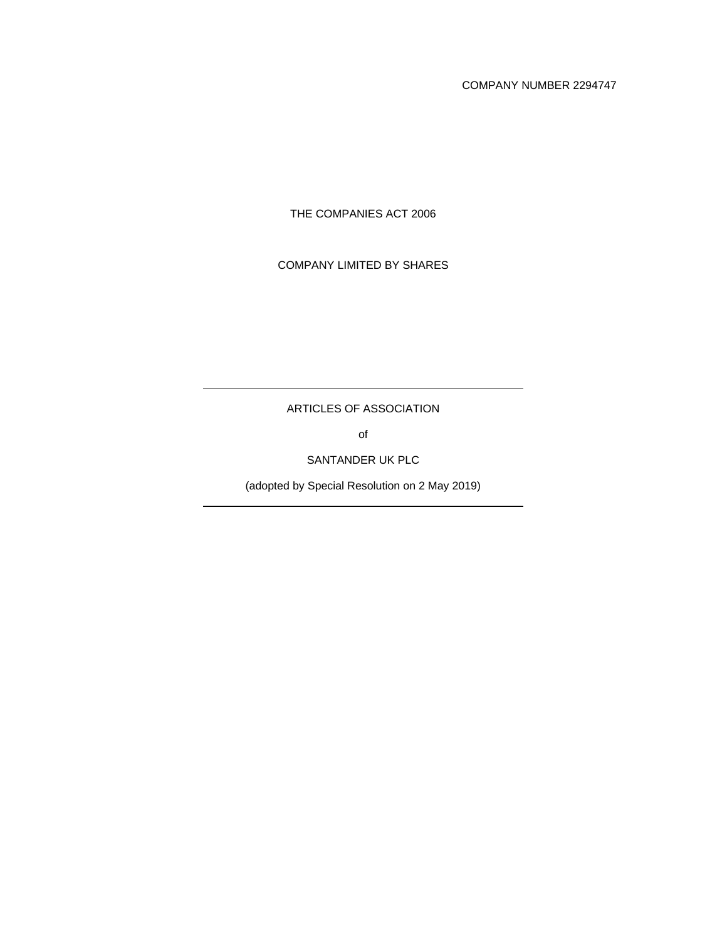COMPANY NUMBER 2294747

THE COMPANIES ACT 2006

COMPANY LIMITED BY SHARES

ARTICLES OF ASSOCIATION

of

SANTANDER UK PLC

(adopted by Special Resolution on 2 May 2019)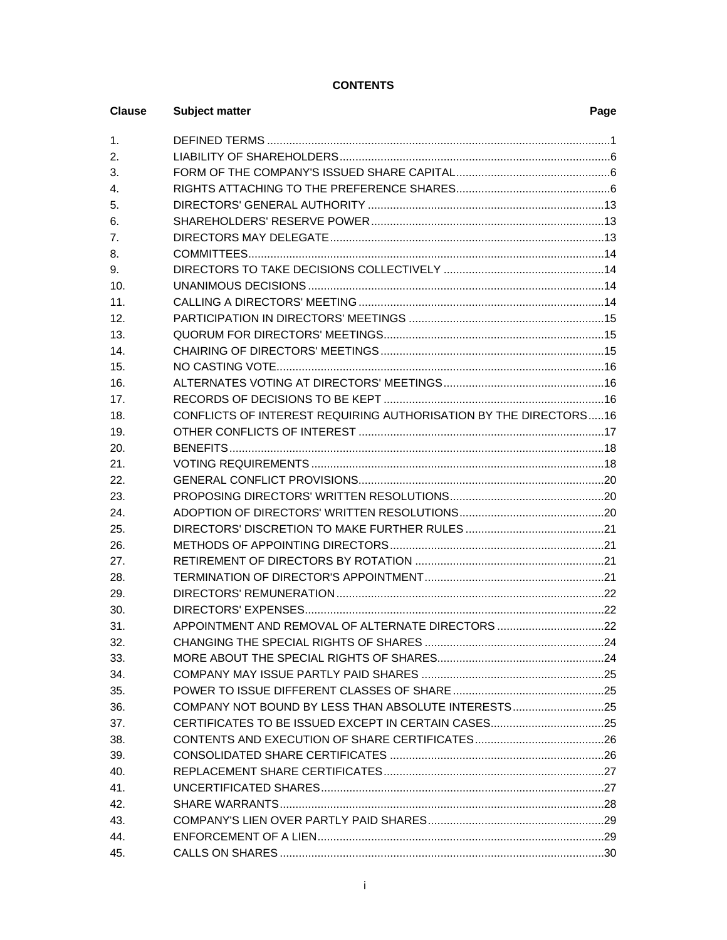# **CONTENTS**

| <b>Clause</b> | <b>Subject matter</b>                                            | Page |
|---------------|------------------------------------------------------------------|------|
| 1.            |                                                                  |      |
| 2.            |                                                                  |      |
| 3.            |                                                                  |      |
| 4.            |                                                                  |      |
| 5.            |                                                                  |      |
| 6.            |                                                                  |      |
| 7.            |                                                                  |      |
| 8.            |                                                                  |      |
| 9.            |                                                                  |      |
| 10.           |                                                                  |      |
| 11.           |                                                                  |      |
| 12.           |                                                                  |      |
| 13.           |                                                                  |      |
| 14.           |                                                                  |      |
| 15.           |                                                                  |      |
| 16.           |                                                                  |      |
| 17.           |                                                                  |      |
| 18.           | CONFLICTS OF INTEREST REQUIRING AUTHORISATION BY THE DIRECTORS16 |      |
| 19.           |                                                                  |      |
| 20.           |                                                                  |      |
| 21.           |                                                                  |      |
| 22.           |                                                                  |      |
| 23.           |                                                                  |      |
| 24.           |                                                                  |      |
| 25.           |                                                                  |      |
| 26.           |                                                                  |      |
| 27.           |                                                                  |      |
| 28.           |                                                                  |      |
| 29.           |                                                                  |      |
| 30.           |                                                                  |      |
| 31.           | APPOINTMENT AND REMOVAL OF ALTERNATE DIRECTORS 22                |      |
| 32.           |                                                                  |      |
| 33.           |                                                                  |      |
| 34.           |                                                                  |      |
| 35.           |                                                                  |      |
| 36.           | COMPANY NOT BOUND BY LESS THAN ABSOLUTE INTERESTS25              |      |
| 37.           |                                                                  |      |
| 38.           |                                                                  |      |
| 39.           |                                                                  |      |
| 40.           |                                                                  |      |
| 41.           |                                                                  |      |
| 42.           |                                                                  |      |
| 43.           |                                                                  |      |
| 44.           |                                                                  |      |
| 45.           |                                                                  |      |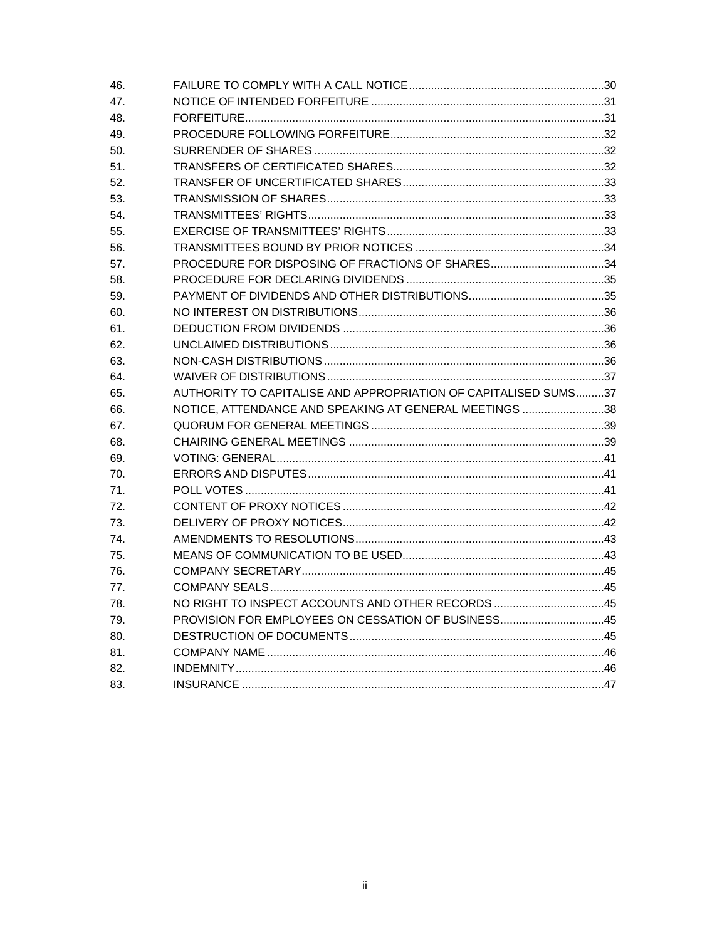| 46. |                                                                 |  |
|-----|-----------------------------------------------------------------|--|
| 47. |                                                                 |  |
| 48. |                                                                 |  |
| 49. |                                                                 |  |
| 50. |                                                                 |  |
| 51. |                                                                 |  |
| 52. |                                                                 |  |
| 53. |                                                                 |  |
| 54. |                                                                 |  |
| 55. |                                                                 |  |
| 56. |                                                                 |  |
| 57. | PROCEDURE FOR DISPOSING OF FRACTIONS OF SHARES34                |  |
| 58. |                                                                 |  |
| 59. |                                                                 |  |
| 60. |                                                                 |  |
| 61. |                                                                 |  |
| 62. |                                                                 |  |
| 63. |                                                                 |  |
| 64. |                                                                 |  |
| 65. | AUTHORITY TO CAPITALISE AND APPROPRIATION OF CAPITALISED SUMS37 |  |
| 66. | NOTICE, ATTENDANCE AND SPEAKING AT GENERAL MEETINGS 38          |  |
| 67. |                                                                 |  |
| 68. |                                                                 |  |
| 69. |                                                                 |  |
| 70. |                                                                 |  |
| 71. |                                                                 |  |
| 72. |                                                                 |  |
| 73. |                                                                 |  |
| 74. |                                                                 |  |
| 75. |                                                                 |  |
| 76. |                                                                 |  |
| 77. |                                                                 |  |
| 78. | NO RIGHT TO INSPECT ACCOUNTS AND OTHER RECORDS 45               |  |
| 79. | PROVISION FOR EMPLOYEES ON CESSATION OF BUSINESS45              |  |
| 80. |                                                                 |  |
| 81. |                                                                 |  |
| 82. |                                                                 |  |
| 83. |                                                                 |  |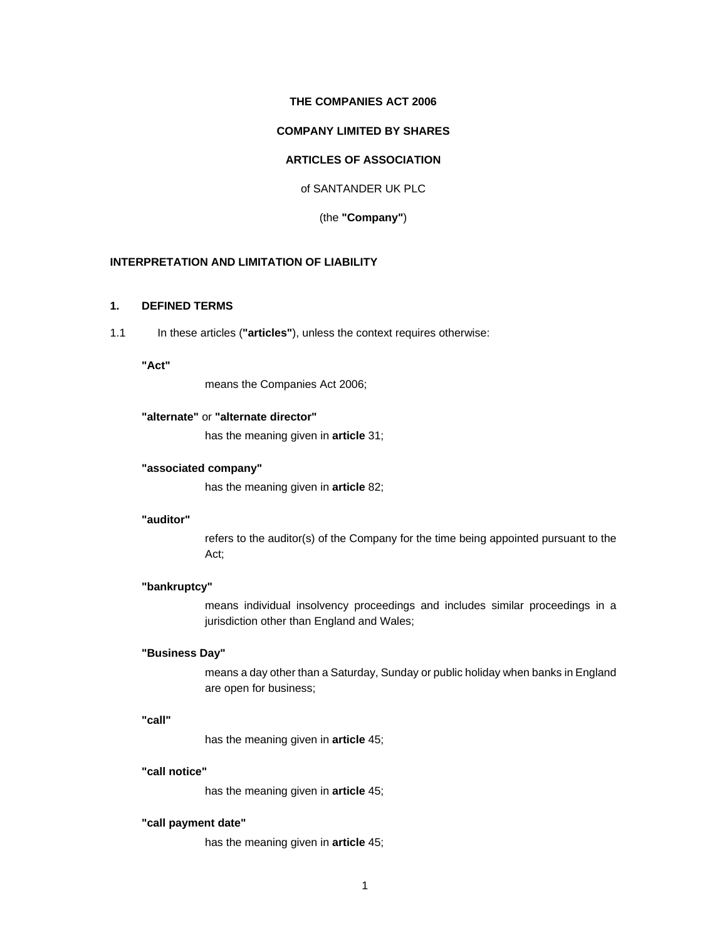### **THE COMPANIES ACT 2006**

# **COMPANY LIMITED BY SHARES**

# **ARTICLES OF ASSOCIATION**

of SANTANDER UK PLC

(the **"Company"**)

# **INTERPRETATION AND LIMITATION OF LIABILITY**

# **1. DEFINED TERMS**

1.1 In these articles (**"articles"**), unless the context requires otherwise:

# **"Act"**

means the Companies Act 2006;

# **"alternate"** or **"alternate director"**

has the meaning given in **article** 31;

### **"associated company"**

has the meaning given in **article** 82;

# **"auditor"**

refers to the auditor(s) of the Company for the time being appointed pursuant to the Act;

### **"bankruptcy"**

means individual insolvency proceedings and includes similar proceedings in a jurisdiction other than England and Wales;

# **"Business Day"**

means a day other than a Saturday, Sunday or public holiday when banks in England are open for business;

#### **"call"**

has the meaning given in **article** 45;

#### **"call notice"**

has the meaning given in **article** 45;

# **"call payment date"**

has the meaning given in **article** 45;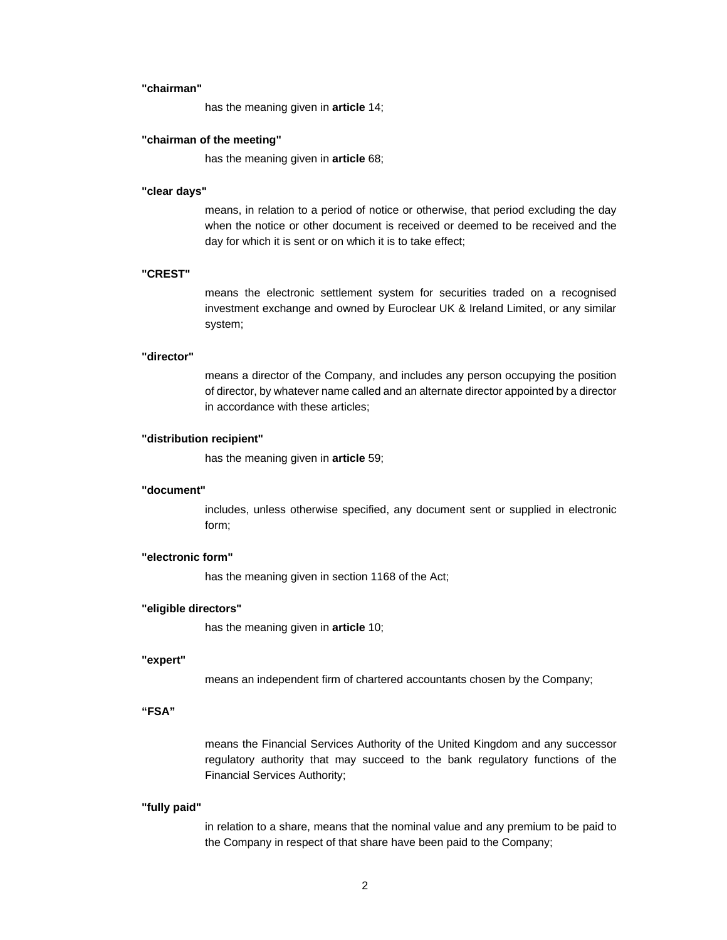#### **"chairman"**

has the meaning given in **article** 14;

### **"chairman of the meeting"**

has the meaning given in **article** 68;

### **"clear days"**

means, in relation to a period of notice or otherwise, that period excluding the day when the notice or other document is received or deemed to be received and the day for which it is sent or on which it is to take effect;

# **"CREST"**

means the electronic settlement system for securities traded on a recognised investment exchange and owned by Euroclear UK & Ireland Limited, or any similar system;

#### **"director"**

means a director of the Company, and includes any person occupying the position of director, by whatever name called and an alternate director appointed by a director in accordance with these articles;

#### **"distribution recipient"**

has the meaning given in **article** 59;

# **"document"**

includes, unless otherwise specified, any document sent or supplied in electronic form;

### **"electronic form"**

has the meaning given in section 1168 of the Act;

### **"eligible directors"**

has the meaning given in **article** 10;

#### **"expert"**

means an independent firm of chartered accountants chosen by the Company;

### **"FSA"**

means the Financial Services Authority of the United Kingdom and any successor regulatory authority that may succeed to the bank regulatory functions of the Financial Services Authority;

#### **"fully paid"**

in relation to a share, means that the nominal value and any premium to be paid to the Company in respect of that share have been paid to the Company;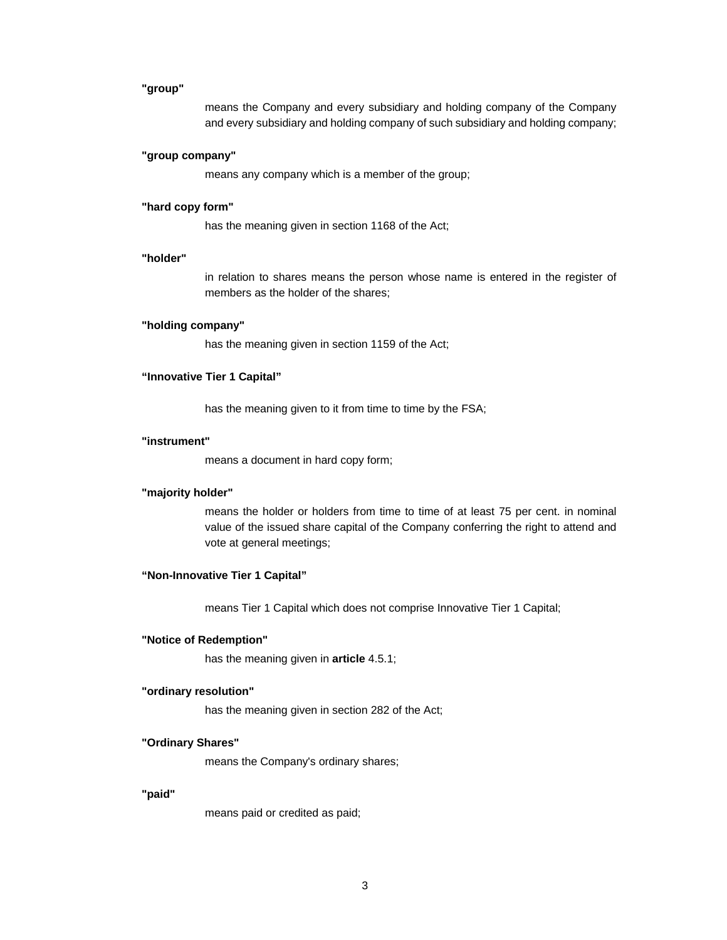#### **"group"**

means the Company and every subsidiary and holding company of the Company and every subsidiary and holding company of such subsidiary and holding company;

### **"group company"**

means any company which is a member of the group;

#### **"hard copy form"**

has the meaning given in section 1168 of the Act;

#### **"holder"**

in relation to shares means the person whose name is entered in the register of members as the holder of the shares;

#### **"holding company"**

has the meaning given in section 1159 of the Act;

#### **"Innovative Tier 1 Capital"**

has the meaning given to it from time to time by the FSA;

#### **"instrument"**

means a document in hard copy form;

### **"majority holder"**

means the holder or holders from time to time of at least 75 per cent. in nominal value of the issued share capital of the Company conferring the right to attend and vote at general meetings;

### **"Non-Innovative Tier 1 Capital"**

means Tier 1 Capital which does not comprise Innovative Tier 1 Capital;

#### **"Notice of Redemption"**

has the meaning given in **article** 4.5.1;

#### **"ordinary resolution"**

has the meaning given in section 282 of the Act;

# **"Ordinary Shares"**

means the Company's ordinary shares;

### **"paid"**

means paid or credited as paid;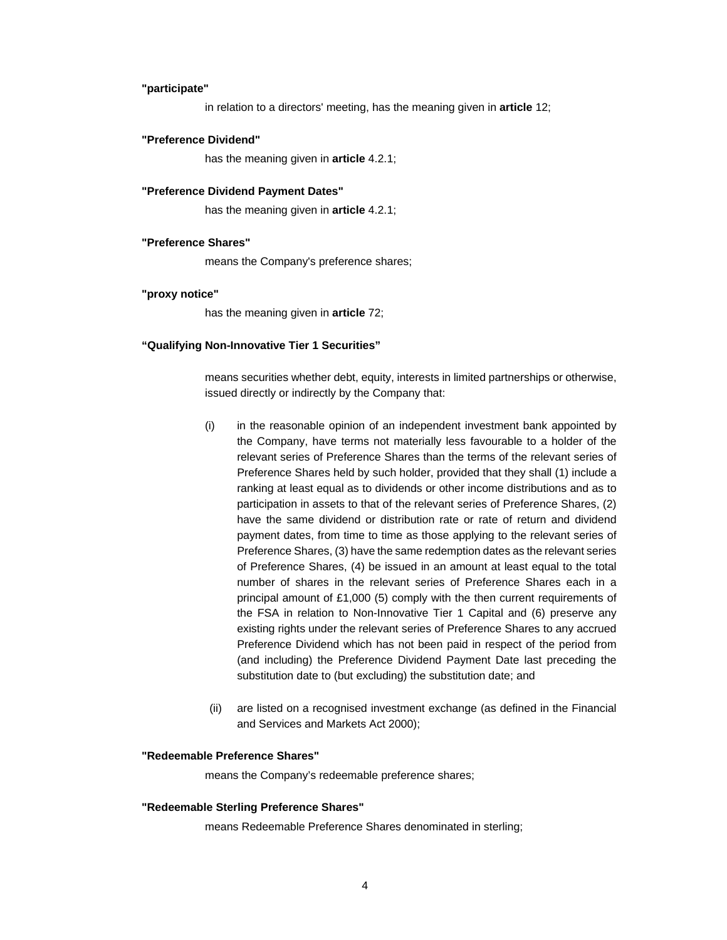#### **"participate"**

in relation to a directors' meeting, has the meaning given in **article** 12;

#### **"Preference Dividend"**

has the meaning given in **article** 4.2.1;

#### **"Preference Dividend Payment Dates"**

has the meaning given in **article** 4.2.1;

### **"Preference Shares"**

means the Company's preference shares;

### **"proxy notice"**

has the meaning given in **article** 72;

### **"Qualifying Non-Innovative Tier 1 Securities"**

means securities whether debt, equity, interests in limited partnerships or otherwise, issued directly or indirectly by the Company that:

- (i) in the reasonable opinion of an independent investment bank appointed by the Company, have terms not materially less favourable to a holder of the relevant series of Preference Shares than the terms of the relevant series of Preference Shares held by such holder, provided that they shall (1) include a ranking at least equal as to dividends or other income distributions and as to participation in assets to that of the relevant series of Preference Shares, (2) have the same dividend or distribution rate or rate of return and dividend payment dates, from time to time as those applying to the relevant series of Preference Shares, (3) have the same redemption dates as the relevant series of Preference Shares, (4) be issued in an amount at least equal to the total number of shares in the relevant series of Preference Shares each in a principal amount of £1,000 (5) comply with the then current requirements of the FSA in relation to Non-Innovative Tier 1 Capital and (6) preserve any existing rights under the relevant series of Preference Shares to any accrued Preference Dividend which has not been paid in respect of the period from (and including) the Preference Dividend Payment Date last preceding the substitution date to (but excluding) the substitution date; and
- (ii) are listed on a recognised investment exchange (as defined in the Financial and Services and Markets Act 2000);

### **"Redeemable Preference Shares"**

means the Company's redeemable preference shares;

#### **"Redeemable Sterling Preference Shares"**

means Redeemable Preference Shares denominated in sterling;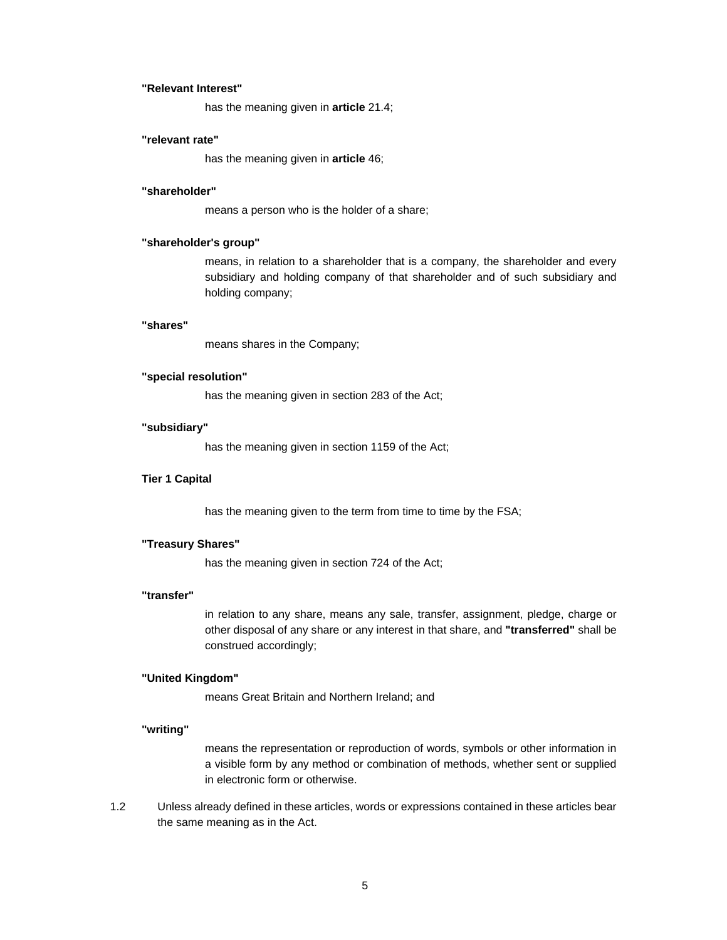### **"Relevant Interest"**

has the meaning given in **article** 21.4;

### **"relevant rate"**

has the meaning given in **article** 46;

# **"shareholder"**

means a person who is the holder of a share;

# **"shareholder's group"**

means, in relation to a shareholder that is a company, the shareholder and every subsidiary and holding company of that shareholder and of such subsidiary and holding company;

#### **"shares"**

means shares in the Company;

#### **"special resolution"**

has the meaning given in section 283 of the Act;

### **"subsidiary"**

has the meaning given in section 1159 of the Act;

#### **Tier 1 Capital**

has the meaning given to the term from time to time by the FSA;

### **"Treasury Shares"**

has the meaning given in section 724 of the Act;

### **"transfer"**

in relation to any share, means any sale, transfer, assignment, pledge, charge or other disposal of any share or any interest in that share, and **"transferred"** shall be construed accordingly;

### **"United Kingdom"**

means Great Britain and Northern Ireland; and

#### **"writing"**

means the representation or reproduction of words, symbols or other information in a visible form by any method or combination of methods, whether sent or supplied in electronic form or otherwise.

1.2 Unless already defined in these articles, words or expressions contained in these articles bear the same meaning as in the Act.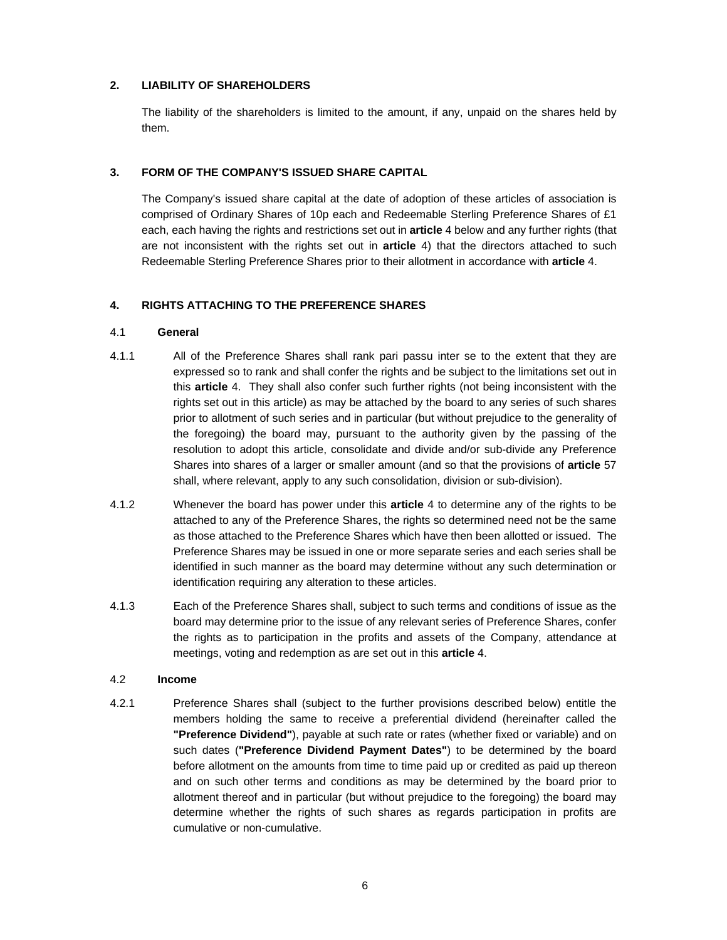# **2. LIABILITY OF SHAREHOLDERS**

The liability of the shareholders is limited to the amount, if any, unpaid on the shares held by them.

# **3. FORM OF THE COMPANY'S ISSUED SHARE CAPITAL**

The Company's issued share capital at the date of adoption of these articles of association is comprised of Ordinary Shares of 10p each and Redeemable Sterling Preference Shares of £1 each, each having the rights and restrictions set out in **article** 4 below and any further rights (that are not inconsistent with the rights set out in **article** 4) that the directors attached to such Redeemable Sterling Preference Shares prior to their allotment in accordance with **article** 4.

# **4. RIGHTS ATTACHING TO THE PREFERENCE SHARES**

### 4.1 **General**

- 4.1.1 All of the Preference Shares shall rank pari passu inter se to the extent that they are expressed so to rank and shall confer the rights and be subject to the limitations set out in this **article** 4. They shall also confer such further rights (not being inconsistent with the rights set out in this article) as may be attached by the board to any series of such shares prior to allotment of such series and in particular (but without prejudice to the generality of the foregoing) the board may, pursuant to the authority given by the passing of the resolution to adopt this article, consolidate and divide and/or sub-divide any Preference Shares into shares of a larger or smaller amount (and so that the provisions of **article** 57 shall, where relevant, apply to any such consolidation, division or sub-division).
- 4.1.2 Whenever the board has power under this **article** 4 to determine any of the rights to be attached to any of the Preference Shares, the rights so determined need not be the same as those attached to the Preference Shares which have then been allotted or issued. The Preference Shares may be issued in one or more separate series and each series shall be identified in such manner as the board may determine without any such determination or identification requiring any alteration to these articles.
- 4.1.3 Each of the Preference Shares shall, subject to such terms and conditions of issue as the board may determine prior to the issue of any relevant series of Preference Shares, confer the rights as to participation in the profits and assets of the Company, attendance at meetings, voting and redemption as are set out in this **article** 4.

### 4.2 **Income**

4.2.1 Preference Shares shall (subject to the further provisions described below) entitle the members holding the same to receive a preferential dividend (hereinafter called the **"Preference Dividend"**), payable at such rate or rates (whether fixed or variable) and on such dates (**"Preference Dividend Payment Dates"**) to be determined by the board before allotment on the amounts from time to time paid up or credited as paid up thereon and on such other terms and conditions as may be determined by the board prior to allotment thereof and in particular (but without prejudice to the foregoing) the board may determine whether the rights of such shares as regards participation in profits are cumulative or non-cumulative.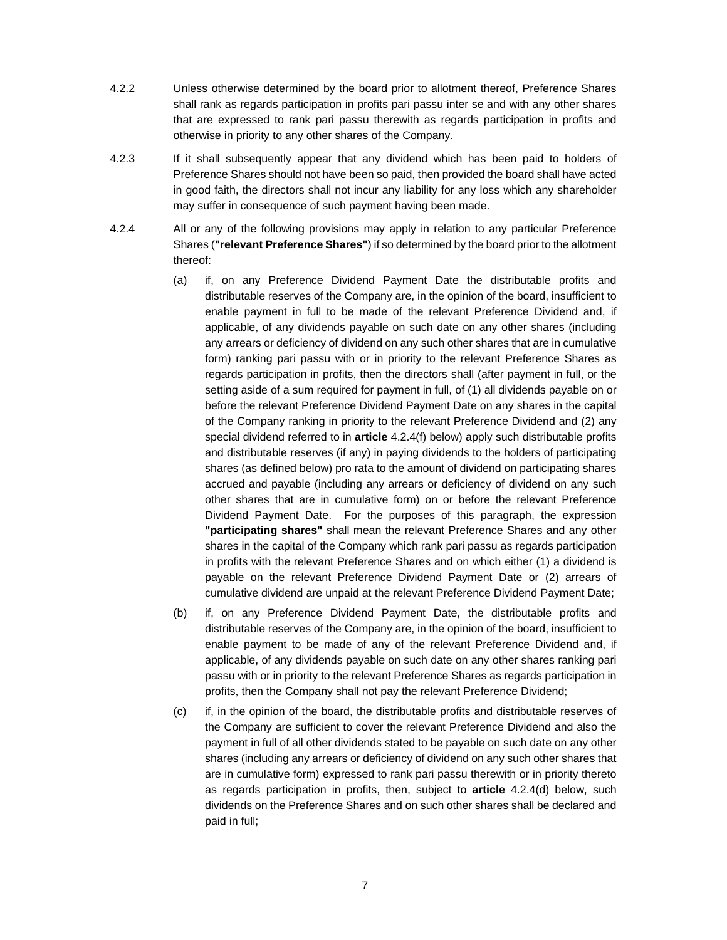- 4.2.2 Unless otherwise determined by the board prior to allotment thereof, Preference Shares shall rank as regards participation in profits pari passu inter se and with any other shares that are expressed to rank pari passu therewith as regards participation in profits and otherwise in priority to any other shares of the Company.
- 4.2.3 If it shall subsequently appear that any dividend which has been paid to holders of Preference Shares should not have been so paid, then provided the board shall have acted in good faith, the directors shall not incur any liability for any loss which any shareholder may suffer in consequence of such payment having been made.
- 4.2.4 All or any of the following provisions may apply in relation to any particular Preference Shares (**"relevant Preference Shares"**) if so determined by the board prior to the allotment thereof:
	- (a) if, on any Preference Dividend Payment Date the distributable profits and distributable reserves of the Company are, in the opinion of the board, insufficient to enable payment in full to be made of the relevant Preference Dividend and, if applicable, of any dividends payable on such date on any other shares (including any arrears or deficiency of dividend on any such other shares that are in cumulative form) ranking pari passu with or in priority to the relevant Preference Shares as regards participation in profits, then the directors shall (after payment in full, or the setting aside of a sum required for payment in full, of (1) all dividends payable on or before the relevant Preference Dividend Payment Date on any shares in the capital of the Company ranking in priority to the relevant Preference Dividend and (2) any special dividend referred to in **article** 4.2.4(f) below) apply such distributable profits and distributable reserves (if any) in paying dividends to the holders of participating shares (as defined below) pro rata to the amount of dividend on participating shares accrued and payable (including any arrears or deficiency of dividend on any such other shares that are in cumulative form) on or before the relevant Preference Dividend Payment Date. For the purposes of this paragraph, the expression **"participating shares"** shall mean the relevant Preference Shares and any other shares in the capital of the Company which rank pari passu as regards participation in profits with the relevant Preference Shares and on which either (1) a dividend is payable on the relevant Preference Dividend Payment Date or (2) arrears of cumulative dividend are unpaid at the relevant Preference Dividend Payment Date;
	- (b) if, on any Preference Dividend Payment Date, the distributable profits and distributable reserves of the Company are, in the opinion of the board, insufficient to enable payment to be made of any of the relevant Preference Dividend and, if applicable, of any dividends payable on such date on any other shares ranking pari passu with or in priority to the relevant Preference Shares as regards participation in profits, then the Company shall not pay the relevant Preference Dividend;
	- (c) if, in the opinion of the board, the distributable profits and distributable reserves of the Company are sufficient to cover the relevant Preference Dividend and also the payment in full of all other dividends stated to be payable on such date on any other shares (including any arrears or deficiency of dividend on any such other shares that are in cumulative form) expressed to rank pari passu therewith or in priority thereto as regards participation in profits, then, subject to **article** 4.2.4(d) below, such dividends on the Preference Shares and on such other shares shall be declared and paid in full;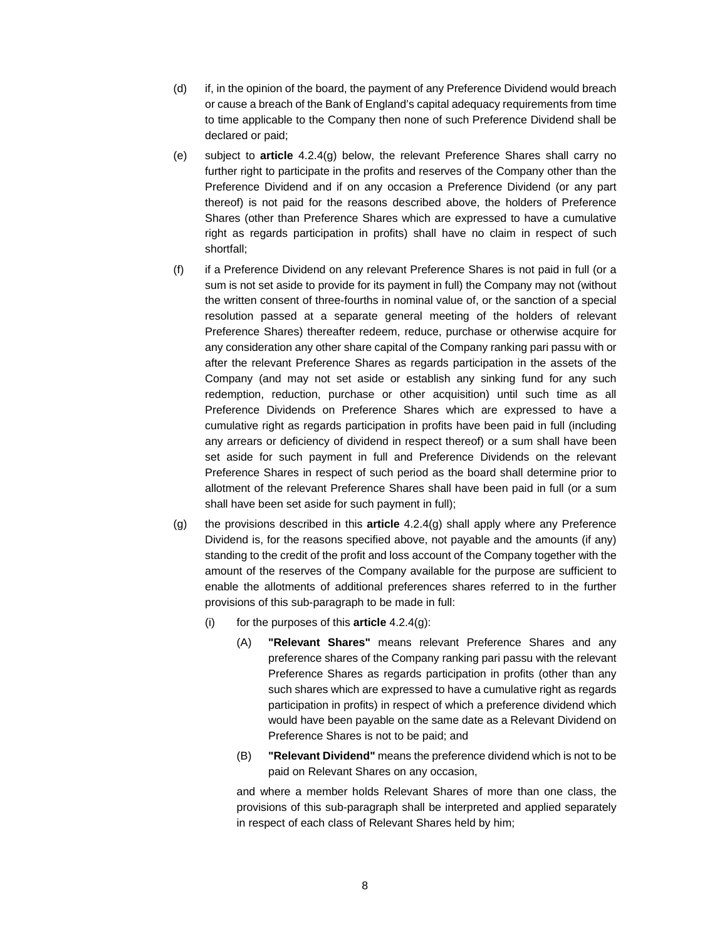- (d) if, in the opinion of the board, the payment of any Preference Dividend would breach or cause a breach of the Bank of England's capital adequacy requirements from time to time applicable to the Company then none of such Preference Dividend shall be declared or paid;
- (e) subject to **article** 4.2.4(g) below, the relevant Preference Shares shall carry no further right to participate in the profits and reserves of the Company other than the Preference Dividend and if on any occasion a Preference Dividend (or any part thereof) is not paid for the reasons described above, the holders of Preference Shares (other than Preference Shares which are expressed to have a cumulative right as regards participation in profits) shall have no claim in respect of such shortfall;
- (f) if a Preference Dividend on any relevant Preference Shares is not paid in full (or a sum is not set aside to provide for its payment in full) the Company may not (without the written consent of three-fourths in nominal value of, or the sanction of a special resolution passed at a separate general meeting of the holders of relevant Preference Shares) thereafter redeem, reduce, purchase or otherwise acquire for any consideration any other share capital of the Company ranking pari passu with or after the relevant Preference Shares as regards participation in the assets of the Company (and may not set aside or establish any sinking fund for any such redemption, reduction, purchase or other acquisition) until such time as all Preference Dividends on Preference Shares which are expressed to have a cumulative right as regards participation in profits have been paid in full (including any arrears or deficiency of dividend in respect thereof) or a sum shall have been set aside for such payment in full and Preference Dividends on the relevant Preference Shares in respect of such period as the board shall determine prior to allotment of the relevant Preference Shares shall have been paid in full (or a sum shall have been set aside for such payment in full);
- (g) the provisions described in this **article** 4.2.4(g) shall apply where any Preference Dividend is, for the reasons specified above, not payable and the amounts (if any) standing to the credit of the profit and loss account of the Company together with the amount of the reserves of the Company available for the purpose are sufficient to enable the allotments of additional preferences shares referred to in the further provisions of this sub-paragraph to be made in full:
	- (i) for the purposes of this **article** 4.2.4(g):
		- (A) **"Relevant Shares"** means relevant Preference Shares and any preference shares of the Company ranking pari passu with the relevant Preference Shares as regards participation in profits (other than any such shares which are expressed to have a cumulative right as regards participation in profits) in respect of which a preference dividend which would have been payable on the same date as a Relevant Dividend on Preference Shares is not to be paid; and
		- (B) **"Relevant Dividend"** means the preference dividend which is not to be paid on Relevant Shares on any occasion,

and where a member holds Relevant Shares of more than one class, the provisions of this sub-paragraph shall be interpreted and applied separately in respect of each class of Relevant Shares held by him;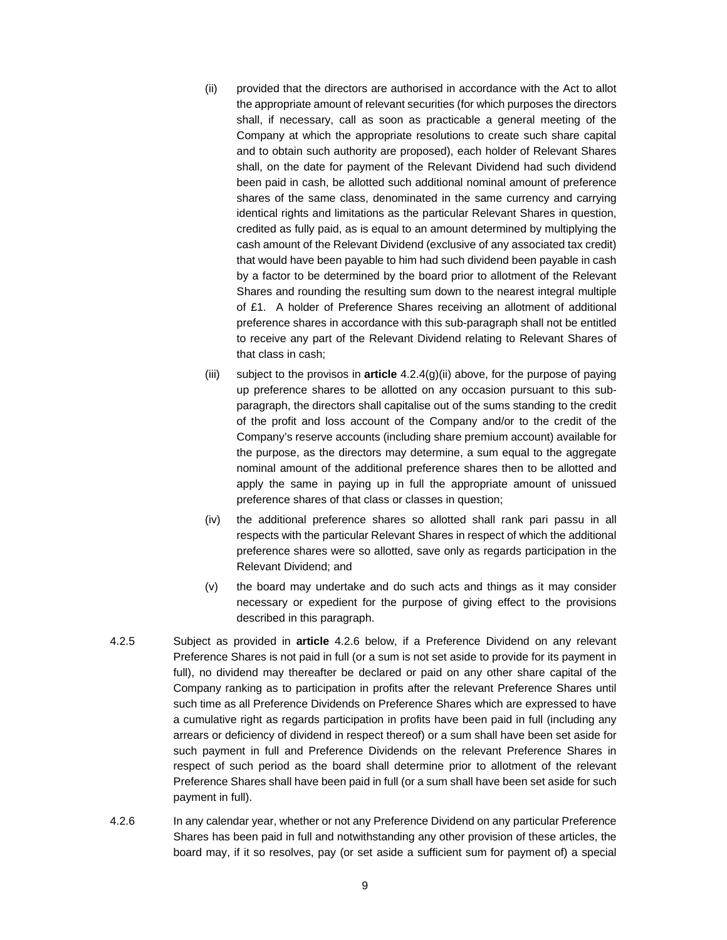- (ii) provided that the directors are authorised in accordance with the Act to allot the appropriate amount of relevant securities (for which purposes the directors shall, if necessary, call as soon as practicable a general meeting of the Company at which the appropriate resolutions to create such share capital and to obtain such authority are proposed), each holder of Relevant Shares shall, on the date for payment of the Relevant Dividend had such dividend been paid in cash, be allotted such additional nominal amount of preference shares of the same class, denominated in the same currency and carrying identical rights and limitations as the particular Relevant Shares in question, credited as fully paid, as is equal to an amount determined by multiplying the cash amount of the Relevant Dividend (exclusive of any associated tax credit) that would have been payable to him had such dividend been payable in cash by a factor to be determined by the board prior to allotment of the Relevant Shares and rounding the resulting sum down to the nearest integral multiple of £1. A holder of Preference Shares receiving an allotment of additional preference shares in accordance with this sub-paragraph shall not be entitled to receive any part of the Relevant Dividend relating to Relevant Shares of that class in cash;
- (iii) subject to the provisos in **article** 4.2.4(g)(ii) above, for the purpose of paying up preference shares to be allotted on any occasion pursuant to this subparagraph, the directors shall capitalise out of the sums standing to the credit of the profit and loss account of the Company and/or to the credit of the Company's reserve accounts (including share premium account) available for the purpose, as the directors may determine, a sum equal to the aggregate nominal amount of the additional preference shares then to be allotted and apply the same in paying up in full the appropriate amount of unissued preference shares of that class or classes in question;
- (iv) the additional preference shares so allotted shall rank pari passu in all respects with the particular Relevant Shares in respect of which the additional preference shares were so allotted, save only as regards participation in the Relevant Dividend; and
- (v) the board may undertake and do such acts and things as it may consider necessary or expedient for the purpose of giving effect to the provisions described in this paragraph.
- 4.2.5 Subject as provided in **article** 4.2.6 below, if a Preference Dividend on any relevant Preference Shares is not paid in full (or a sum is not set aside to provide for its payment in full), no dividend may thereafter be declared or paid on any other share capital of the Company ranking as to participation in profits after the relevant Preference Shares until such time as all Preference Dividends on Preference Shares which are expressed to have a cumulative right as regards participation in profits have been paid in full (including any arrears or deficiency of dividend in respect thereof) or a sum shall have been set aside for such payment in full and Preference Dividends on the relevant Preference Shares in respect of such period as the board shall determine prior to allotment of the relevant Preference Shares shall have been paid in full (or a sum shall have been set aside for such payment in full).
- 4.2.6 In any calendar year, whether or not any Preference Dividend on any particular Preference Shares has been paid in full and notwithstanding any other provision of these articles, the board may, if it so resolves, pay (or set aside a sufficient sum for payment of) a special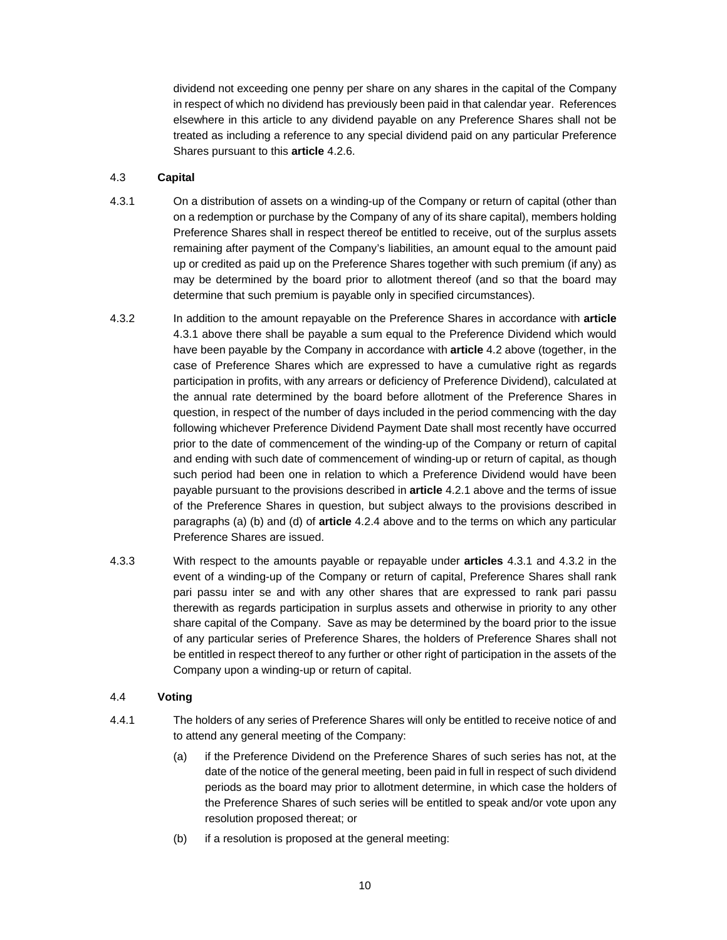dividend not exceeding one penny per share on any shares in the capital of the Company in respect of which no dividend has previously been paid in that calendar year. References elsewhere in this article to any dividend payable on any Preference Shares shall not be treated as including a reference to any special dividend paid on any particular Preference Shares pursuant to this **article** 4.2.6.

# 4.3 **Capital**

- 4.3.1 On a distribution of assets on a winding-up of the Company or return of capital (other than on a redemption or purchase by the Company of any of its share capital), members holding Preference Shares shall in respect thereof be entitled to receive, out of the surplus assets remaining after payment of the Company's liabilities, an amount equal to the amount paid up or credited as paid up on the Preference Shares together with such premium (if any) as may be determined by the board prior to allotment thereof (and so that the board may determine that such premium is payable only in specified circumstances).
- 4.3.2 In addition to the amount repayable on the Preference Shares in accordance with **article**  4.3.1 above there shall be payable a sum equal to the Preference Dividend which would have been payable by the Company in accordance with **article** 4.2 above (together, in the case of Preference Shares which are expressed to have a cumulative right as regards participation in profits, with any arrears or deficiency of Preference Dividend), calculated at the annual rate determined by the board before allotment of the Preference Shares in question, in respect of the number of days included in the period commencing with the day following whichever Preference Dividend Payment Date shall most recently have occurred prior to the date of commencement of the winding-up of the Company or return of capital and ending with such date of commencement of winding-up or return of capital, as though such period had been one in relation to which a Preference Dividend would have been payable pursuant to the provisions described in **article** 4.2.1 above and the terms of issue of the Preference Shares in question, but subject always to the provisions described in paragraphs (a) (b) and (d) of **article** 4.2.4 above and to the terms on which any particular Preference Shares are issued.
- 4.3.3 With respect to the amounts payable or repayable under **articles** 4.3.1 and 4.3.2 in the event of a winding-up of the Company or return of capital, Preference Shares shall rank pari passu inter se and with any other shares that are expressed to rank pari passu therewith as regards participation in surplus assets and otherwise in priority to any other share capital of the Company. Save as may be determined by the board prior to the issue of any particular series of Preference Shares, the holders of Preference Shares shall not be entitled in respect thereof to any further or other right of participation in the assets of the Company upon a winding-up or return of capital.

# 4.4 **Voting**

- 4.4.1 The holders of any series of Preference Shares will only be entitled to receive notice of and to attend any general meeting of the Company:
	- (a) if the Preference Dividend on the Preference Shares of such series has not, at the date of the notice of the general meeting, been paid in full in respect of such dividend periods as the board may prior to allotment determine, in which case the holders of the Preference Shares of such series will be entitled to speak and/or vote upon any resolution proposed thereat; or
	- (b) if a resolution is proposed at the general meeting: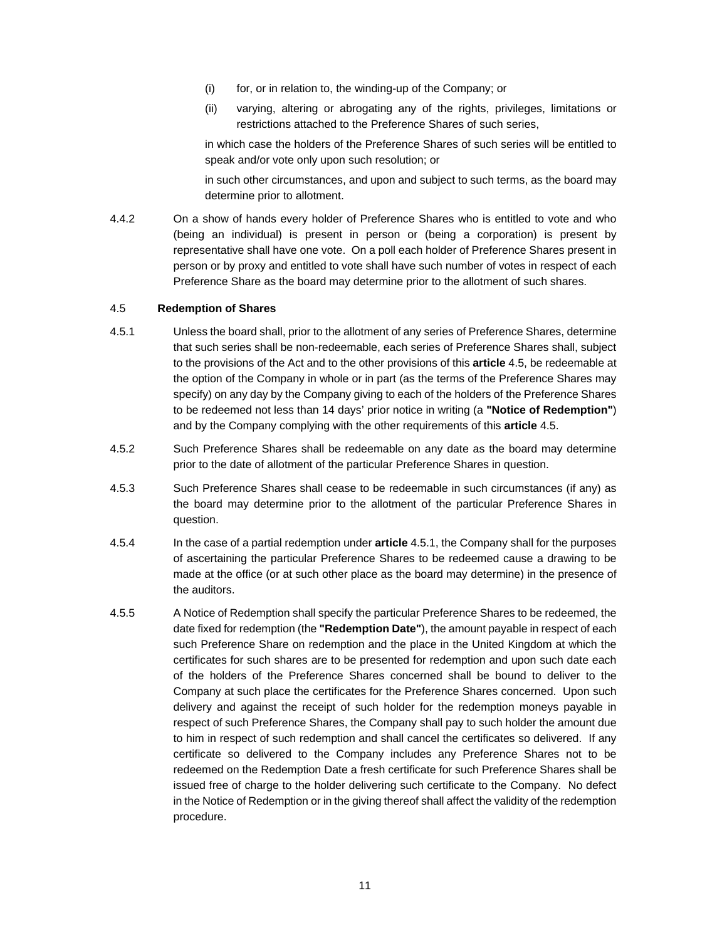- (i) for, or in relation to, the winding-up of the Company; or
- (ii) varying, altering or abrogating any of the rights, privileges, limitations or restrictions attached to the Preference Shares of such series,

in which case the holders of the Preference Shares of such series will be entitled to speak and/or vote only upon such resolution; or

in such other circumstances, and upon and subject to such terms, as the board may determine prior to allotment.

4.4.2 On a show of hands every holder of Preference Shares who is entitled to vote and who (being an individual) is present in person or (being a corporation) is present by representative shall have one vote. On a poll each holder of Preference Shares present in person or by proxy and entitled to vote shall have such number of votes in respect of each Preference Share as the board may determine prior to the allotment of such shares.

### 4.5 **Redemption of Shares**

- 4.5.1 Unless the board shall, prior to the allotment of any series of Preference Shares, determine that such series shall be non-redeemable, each series of Preference Shares shall, subject to the provisions of the Act and to the other provisions of this **article** 4.5, be redeemable at the option of the Company in whole or in part (as the terms of the Preference Shares may specify) on any day by the Company giving to each of the holders of the Preference Shares to be redeemed not less than 14 days' prior notice in writing (a **"Notice of Redemption"**) and by the Company complying with the other requirements of this **article** 4.5.
- 4.5.2 Such Preference Shares shall be redeemable on any date as the board may determine prior to the date of allotment of the particular Preference Shares in question.
- 4.5.3 Such Preference Shares shall cease to be redeemable in such circumstances (if any) as the board may determine prior to the allotment of the particular Preference Shares in question.
- 4.5.4 In the case of a partial redemption under **article** 4.5.1, the Company shall for the purposes of ascertaining the particular Preference Shares to be redeemed cause a drawing to be made at the office (or at such other place as the board may determine) in the presence of the auditors.
- 4.5.5 A Notice of Redemption shall specify the particular Preference Shares to be redeemed, the date fixed for redemption (the **"Redemption Date"**), the amount payable in respect of each such Preference Share on redemption and the place in the United Kingdom at which the certificates for such shares are to be presented for redemption and upon such date each of the holders of the Preference Shares concerned shall be bound to deliver to the Company at such place the certificates for the Preference Shares concerned. Upon such delivery and against the receipt of such holder for the redemption moneys payable in respect of such Preference Shares, the Company shall pay to such holder the amount due to him in respect of such redemption and shall cancel the certificates so delivered. If any certificate so delivered to the Company includes any Preference Shares not to be redeemed on the Redemption Date a fresh certificate for such Preference Shares shall be issued free of charge to the holder delivering such certificate to the Company. No defect in the Notice of Redemption or in the giving thereof shall affect the validity of the redemption procedure.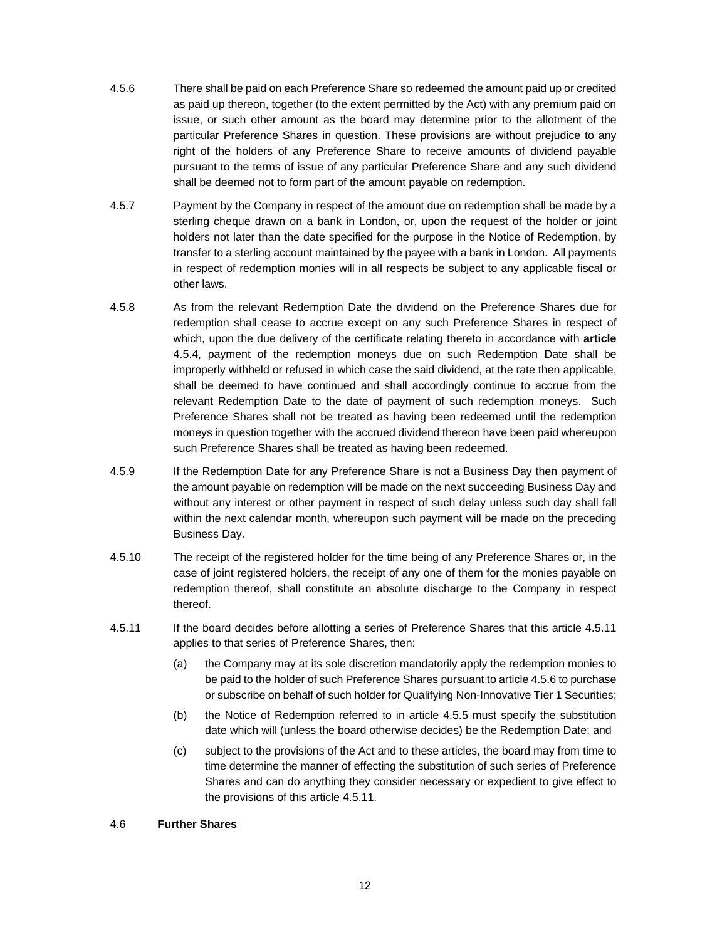- 4.5.6 There shall be paid on each Preference Share so redeemed the amount paid up or credited as paid up thereon, together (to the extent permitted by the Act) with any premium paid on issue, or such other amount as the board may determine prior to the allotment of the particular Preference Shares in question. These provisions are without prejudice to any right of the holders of any Preference Share to receive amounts of dividend payable pursuant to the terms of issue of any particular Preference Share and any such dividend shall be deemed not to form part of the amount payable on redemption.
- 4.5.7 Payment by the Company in respect of the amount due on redemption shall be made by a sterling cheque drawn on a bank in London, or, upon the request of the holder or joint holders not later than the date specified for the purpose in the Notice of Redemption, by transfer to a sterling account maintained by the payee with a bank in London. All payments in respect of redemption monies will in all respects be subject to any applicable fiscal or other laws.
- 4.5.8 As from the relevant Redemption Date the dividend on the Preference Shares due for redemption shall cease to accrue except on any such Preference Shares in respect of which, upon the due delivery of the certificate relating thereto in accordance with **article**  4.5.4, payment of the redemption moneys due on such Redemption Date shall be improperly withheld or refused in which case the said dividend, at the rate then applicable, shall be deemed to have continued and shall accordingly continue to accrue from the relevant Redemption Date to the date of payment of such redemption moneys. Such Preference Shares shall not be treated as having been redeemed until the redemption moneys in question together with the accrued dividend thereon have been paid whereupon such Preference Shares shall be treated as having been redeemed.
- 4.5.9 If the Redemption Date for any Preference Share is not a Business Day then payment of the amount payable on redemption will be made on the next succeeding Business Day and without any interest or other payment in respect of such delay unless such day shall fall within the next calendar month, whereupon such payment will be made on the preceding Business Day.
- 4.5.10 The receipt of the registered holder for the time being of any Preference Shares or, in the case of joint registered holders, the receipt of any one of them for the monies payable on redemption thereof, shall constitute an absolute discharge to the Company in respect thereof.
- 4.5.11 If the board decides before allotting a series of Preference Shares that this article 4.5.11 applies to that series of Preference Shares, then:
	- (a) the Company may at its sole discretion mandatorily apply the redemption monies to be paid to the holder of such Preference Shares pursuant to article 4.5.6 to purchase or subscribe on behalf of such holder for Qualifying Non-Innovative Tier 1 Securities;
	- (b) the Notice of Redemption referred to in article 4.5.5 must specify the substitution date which will (unless the board otherwise decides) be the Redemption Date; and
	- (c) subject to the provisions of the Act and to these articles, the board may from time to time determine the manner of effecting the substitution of such series of Preference Shares and can do anything they consider necessary or expedient to give effect to the provisions of this article 4.5.11.

### 4.6 **Further Shares**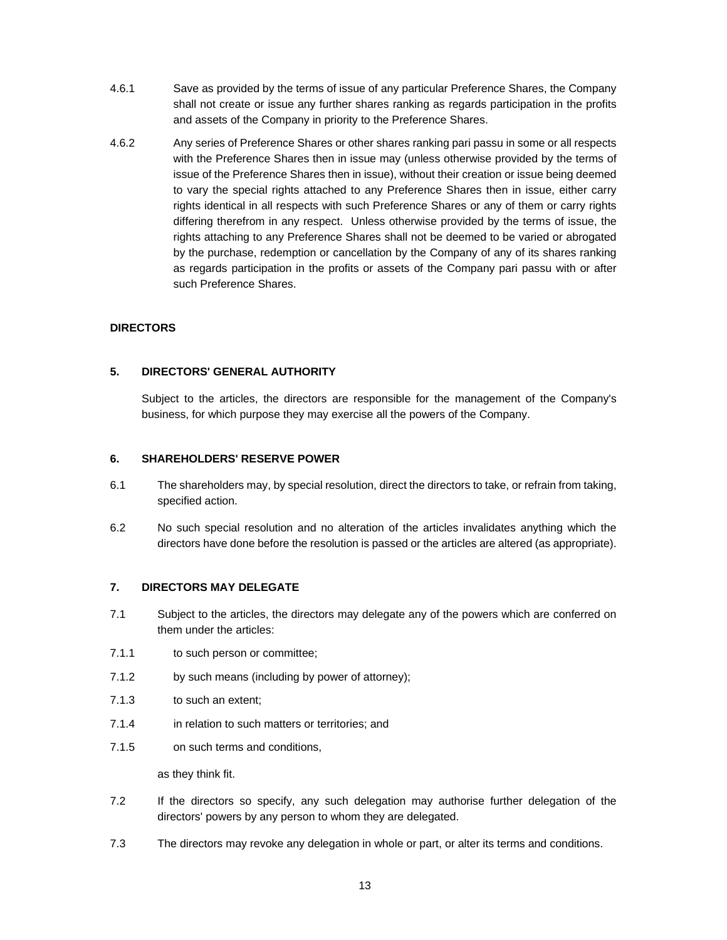- 4.6.1 Save as provided by the terms of issue of any particular Preference Shares, the Company shall not create or issue any further shares ranking as regards participation in the profits and assets of the Company in priority to the Preference Shares.
- 4.6.2 Any series of Preference Shares or other shares ranking pari passu in some or all respects with the Preference Shares then in issue may (unless otherwise provided by the terms of issue of the Preference Shares then in issue), without their creation or issue being deemed to vary the special rights attached to any Preference Shares then in issue, either carry rights identical in all respects with such Preference Shares or any of them or carry rights differing therefrom in any respect. Unless otherwise provided by the terms of issue, the rights attaching to any Preference Shares shall not be deemed to be varied or abrogated by the purchase, redemption or cancellation by the Company of any of its shares ranking as regards participation in the profits or assets of the Company pari passu with or after such Preference Shares.

# **DIRECTORS**

# **5. DIRECTORS' GENERAL AUTHORITY**

Subject to the articles, the directors are responsible for the management of the Company's business, for which purpose they may exercise all the powers of the Company.

### **6. SHAREHOLDERS' RESERVE POWER**

- 6.1 The shareholders may, by special resolution, direct the directors to take, or refrain from taking, specified action.
- 6.2 No such special resolution and no alteration of the articles invalidates anything which the directors have done before the resolution is passed or the articles are altered (as appropriate).

# **7. DIRECTORS MAY DELEGATE**

- 7.1 Subject to the articles, the directors may delegate any of the powers which are conferred on them under the articles:
- 7.1.1 to such person or committee;
- 7.1.2 by such means (including by power of attorney);
- 7.1.3 to such an extent;
- 7.1.4 in relation to such matters or territories; and
- 7.1.5 on such terms and conditions,

as they think fit.

- 7.2 If the directors so specify, any such delegation may authorise further delegation of the directors' powers by any person to whom they are delegated.
- 7.3 The directors may revoke any delegation in whole or part, or alter its terms and conditions.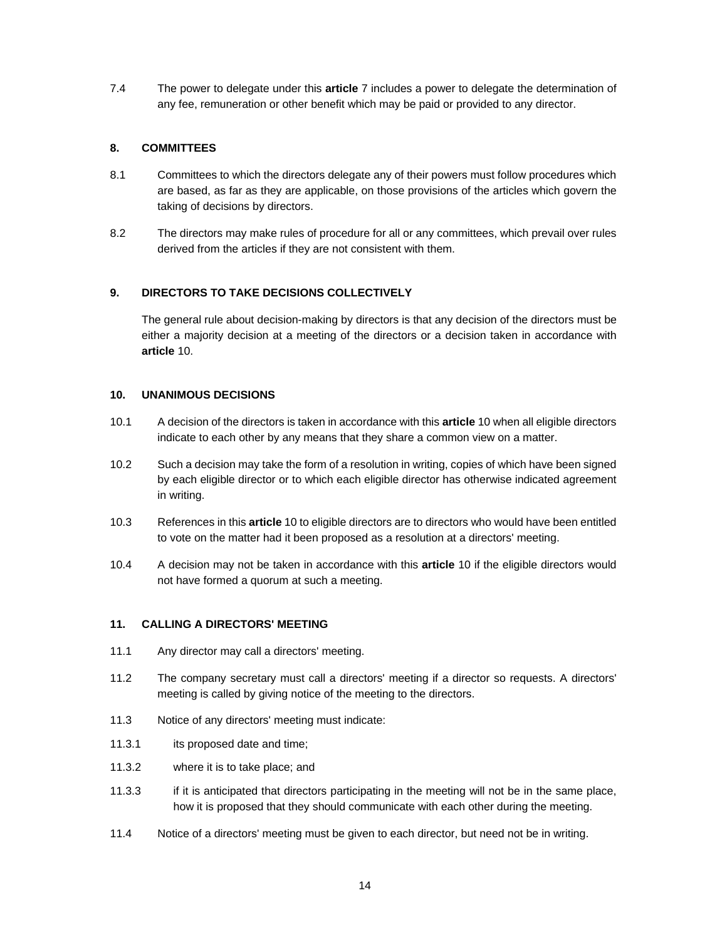7.4 The power to delegate under this **article** 7 includes a power to delegate the determination of any fee, remuneration or other benefit which may be paid or provided to any director.

# **8. COMMITTEES**

- 8.1 Committees to which the directors delegate any of their powers must follow procedures which are based, as far as they are applicable, on those provisions of the articles which govern the taking of decisions by directors.
- 8.2 The directors may make rules of procedure for all or any committees, which prevail over rules derived from the articles if they are not consistent with them.

# **9. DIRECTORS TO TAKE DECISIONS COLLECTIVELY**

The general rule about decision-making by directors is that any decision of the directors must be either a majority decision at a meeting of the directors or a decision taken in accordance with **article** 10.

### **10. UNANIMOUS DECISIONS**

- 10.1 A decision of the directors is taken in accordance with this **article** 10 when all eligible directors indicate to each other by any means that they share a common view on a matter.
- 10.2 Such a decision may take the form of a resolution in writing, copies of which have been signed by each eligible director or to which each eligible director has otherwise indicated agreement in writing.
- 10.3 References in this **article** 10 to eligible directors are to directors who would have been entitled to vote on the matter had it been proposed as a resolution at a directors' meeting.
- 10.4 A decision may not be taken in accordance with this **article** 10 if the eligible directors would not have formed a quorum at such a meeting.

### **11. CALLING A DIRECTORS' MEETING**

- 11.1 Any director may call a directors' meeting.
- 11.2 The company secretary must call a directors' meeting if a director so requests. A directors' meeting is called by giving notice of the meeting to the directors.
- 11.3 Notice of any directors' meeting must indicate:
- 11.3.1 its proposed date and time;
- 11.3.2 where it is to take place; and
- 11.3.3 if it is anticipated that directors participating in the meeting will not be in the same place, how it is proposed that they should communicate with each other during the meeting.
- 11.4 Notice of a directors' meeting must be given to each director, but need not be in writing.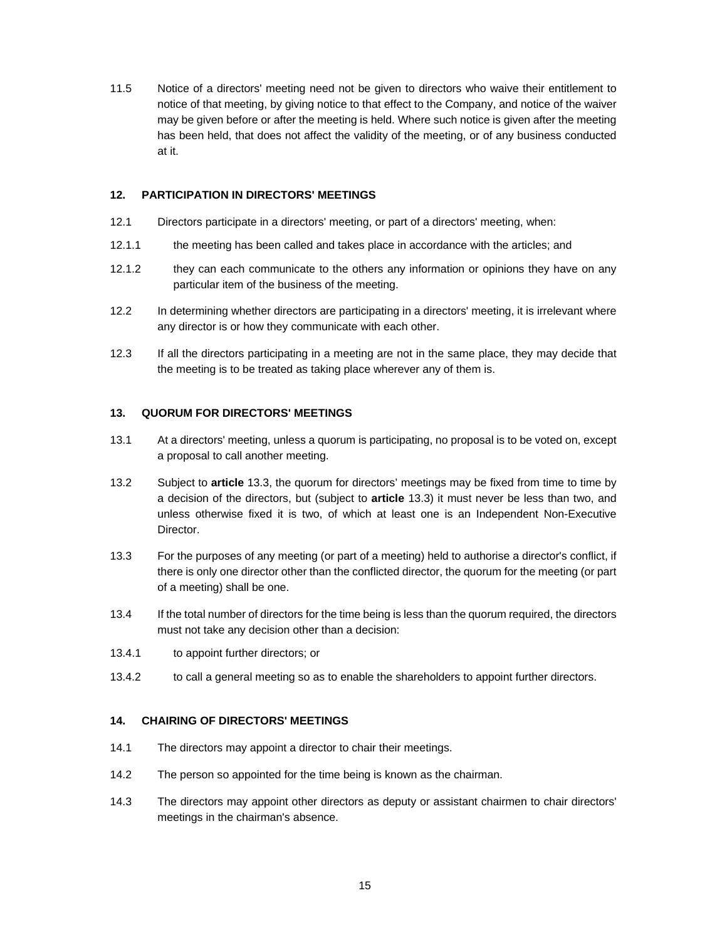11.5 Notice of a directors' meeting need not be given to directors who waive their entitlement to notice of that meeting, by giving notice to that effect to the Company, and notice of the waiver may be given before or after the meeting is held. Where such notice is given after the meeting has been held, that does not affect the validity of the meeting, or of any business conducted at it.

# **12. PARTICIPATION IN DIRECTORS' MEETINGS**

- 12.1 Directors participate in a directors' meeting, or part of a directors' meeting, when:
- 12.1.1 the meeting has been called and takes place in accordance with the articles; and
- 12.1.2 they can each communicate to the others any information or opinions they have on any particular item of the business of the meeting.
- 12.2 In determining whether directors are participating in a directors' meeting, it is irrelevant where any director is or how they communicate with each other.
- 12.3 If all the directors participating in a meeting are not in the same place, they may decide that the meeting is to be treated as taking place wherever any of them is.

### **13. QUORUM FOR DIRECTORS' MEETINGS**

- 13.1 At a directors' meeting, unless a quorum is participating, no proposal is to be voted on, except a proposal to call another meeting.
- 13.2 Subject to **article** 13.3, the quorum for directors' meetings may be fixed from time to time by a decision of the directors, but (subject to **article** 13.3) it must never be less than two, and unless otherwise fixed it is two, of which at least one is an Independent Non-Executive Director.
- 13.3 For the purposes of any meeting (or part of a meeting) held to authorise a director's conflict, if there is only one director other than the conflicted director, the quorum for the meeting (or part of a meeting) shall be one.
- 13.4 If the total number of directors for the time being is less than the quorum required, the directors must not take any decision other than a decision:
- 13.4.1 to appoint further directors; or
- 13.4.2 to call a general meeting so as to enable the shareholders to appoint further directors.

### **14. CHAIRING OF DIRECTORS' MEETINGS**

- 14.1 The directors may appoint a director to chair their meetings.
- 14.2 The person so appointed for the time being is known as the chairman.
- 14.3 The directors may appoint other directors as deputy or assistant chairmen to chair directors' meetings in the chairman's absence.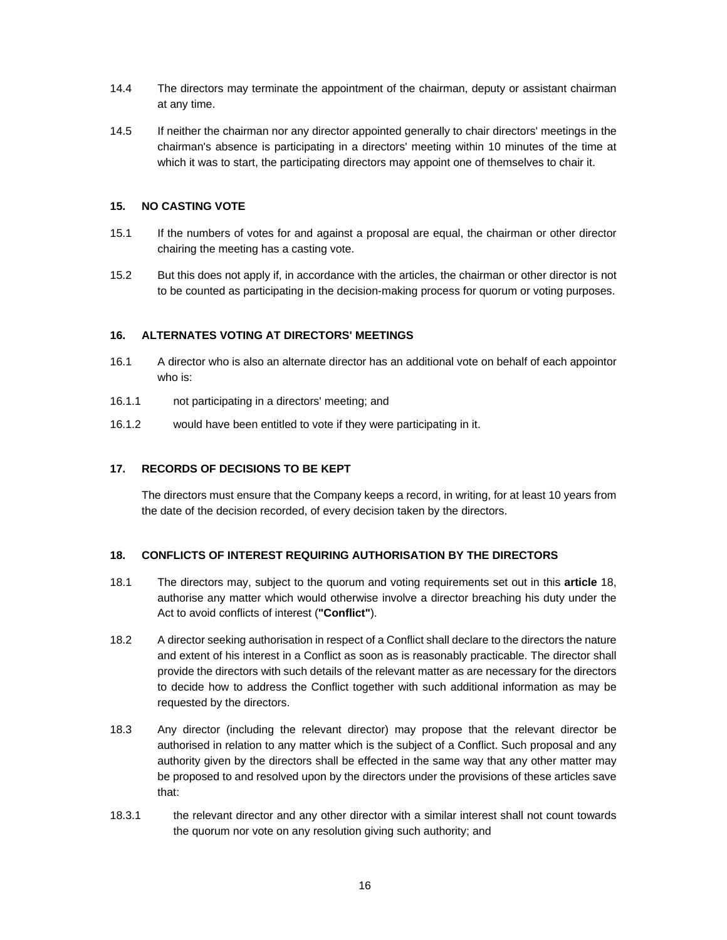- 14.4 The directors may terminate the appointment of the chairman, deputy or assistant chairman at any time.
- 14.5 If neither the chairman nor any director appointed generally to chair directors' meetings in the chairman's absence is participating in a directors' meeting within 10 minutes of the time at which it was to start, the participating directors may appoint one of themselves to chair it.

# **15. NO CASTING VOTE**

- 15.1 If the numbers of votes for and against a proposal are equal, the chairman or other director chairing the meeting has a casting vote.
- 15.2 But this does not apply if, in accordance with the articles, the chairman or other director is not to be counted as participating in the decision-making process for quorum or voting purposes.

### **16. ALTERNATES VOTING AT DIRECTORS' MEETINGS**

- 16.1 A director who is also an alternate director has an additional vote on behalf of each appointor who is:
- 16.1.1 not participating in a directors' meeting; and
- 16.1.2 would have been entitled to vote if they were participating in it.

# **17. RECORDS OF DECISIONS TO BE KEPT**

The directors must ensure that the Company keeps a record, in writing, for at least 10 years from the date of the decision recorded, of every decision taken by the directors.

# **18. CONFLICTS OF INTEREST REQUIRING AUTHORISATION BY THE DIRECTORS**

- 18.1 The directors may, subject to the quorum and voting requirements set out in this **article** 18, authorise any matter which would otherwise involve a director breaching his duty under the Act to avoid conflicts of interest (**"Conflict"**).
- 18.2 A director seeking authorisation in respect of a Conflict shall declare to the directors the nature and extent of his interest in a Conflict as soon as is reasonably practicable. The director shall provide the directors with such details of the relevant matter as are necessary for the directors to decide how to address the Conflict together with such additional information as may be requested by the directors.
- 18.3 Any director (including the relevant director) may propose that the relevant director be authorised in relation to any matter which is the subject of a Conflict. Such proposal and any authority given by the directors shall be effected in the same way that any other matter may be proposed to and resolved upon by the directors under the provisions of these articles save that:
- 18.3.1 the relevant director and any other director with a similar interest shall not count towards the quorum nor vote on any resolution giving such authority; and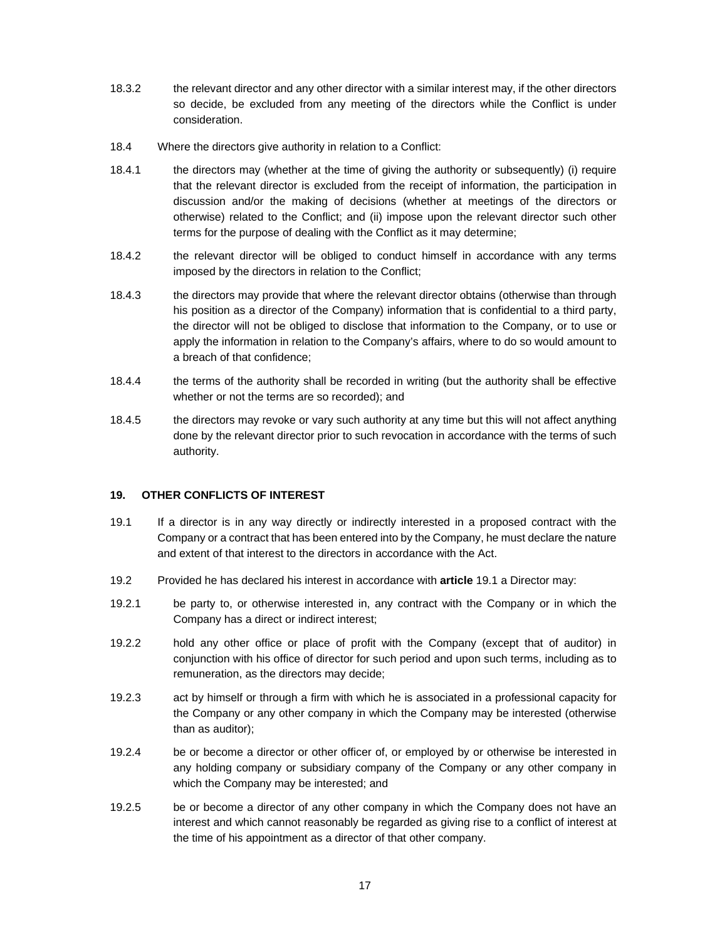- 18.3.2 the relevant director and any other director with a similar interest may, if the other directors so decide, be excluded from any meeting of the directors while the Conflict is under consideration.
- 18.4 Where the directors give authority in relation to a Conflict:
- 18.4.1 the directors may (whether at the time of giving the authority or subsequently) (i) require that the relevant director is excluded from the receipt of information, the participation in discussion and/or the making of decisions (whether at meetings of the directors or otherwise) related to the Conflict; and (ii) impose upon the relevant director such other terms for the purpose of dealing with the Conflict as it may determine;
- 18.4.2 the relevant director will be obliged to conduct himself in accordance with any terms imposed by the directors in relation to the Conflict;
- 18.4.3 the directors may provide that where the relevant director obtains (otherwise than through his position as a director of the Company) information that is confidential to a third party, the director will not be obliged to disclose that information to the Company, or to use or apply the information in relation to the Company's affairs, where to do so would amount to a breach of that confidence;
- 18.4.4 the terms of the authority shall be recorded in writing (but the authority shall be effective whether or not the terms are so recorded); and
- 18.4.5 the directors may revoke or vary such authority at any time but this will not affect anything done by the relevant director prior to such revocation in accordance with the terms of such authority.

# **19. OTHER CONFLICTS OF INTEREST**

- 19.1 If a director is in any way directly or indirectly interested in a proposed contract with the Company or a contract that has been entered into by the Company, he must declare the nature and extent of that interest to the directors in accordance with the Act.
- 19.2 Provided he has declared his interest in accordance with **article** 19.1 a Director may:
- 19.2.1 be party to, or otherwise interested in, any contract with the Company or in which the Company has a direct or indirect interest;
- 19.2.2 hold any other office or place of profit with the Company (except that of auditor) in conjunction with his office of director for such period and upon such terms, including as to remuneration, as the directors may decide;
- 19.2.3 act by himself or through a firm with which he is associated in a professional capacity for the Company or any other company in which the Company may be interested (otherwise than as auditor);
- 19.2.4 be or become a director or other officer of, or employed by or otherwise be interested in any holding company or subsidiary company of the Company or any other company in which the Company may be interested; and
- 19.2.5 be or become a director of any other company in which the Company does not have an interest and which cannot reasonably be regarded as giving rise to a conflict of interest at the time of his appointment as a director of that other company.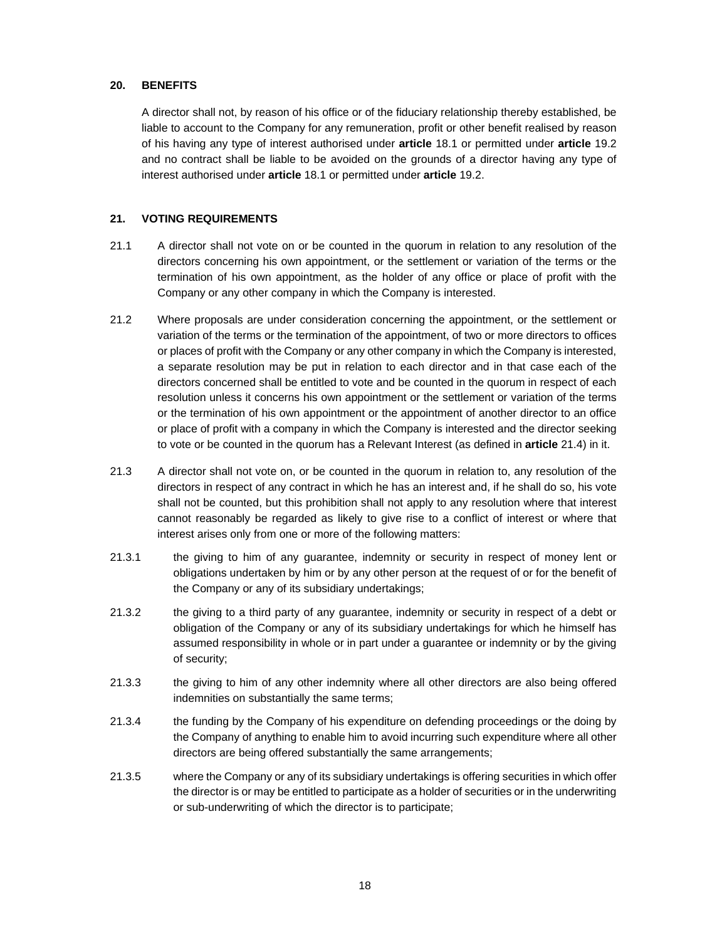# **20. BENEFITS**

A director shall not, by reason of his office or of the fiduciary relationship thereby established, be liable to account to the Company for any remuneration, profit or other benefit realised by reason of his having any type of interest authorised under **article** 18.1 or permitted under **article** 19.2 and no contract shall be liable to be avoided on the grounds of a director having any type of interest authorised under **article** 18.1 or permitted under **article** 19.2.

# **21. VOTING REQUIREMENTS**

- 21.1 A director shall not vote on or be counted in the quorum in relation to any resolution of the directors concerning his own appointment, or the settlement or variation of the terms or the termination of his own appointment, as the holder of any office or place of profit with the Company or any other company in which the Company is interested.
- 21.2 Where proposals are under consideration concerning the appointment, or the settlement or variation of the terms or the termination of the appointment, of two or more directors to offices or places of profit with the Company or any other company in which the Company is interested, a separate resolution may be put in relation to each director and in that case each of the directors concerned shall be entitled to vote and be counted in the quorum in respect of each resolution unless it concerns his own appointment or the settlement or variation of the terms or the termination of his own appointment or the appointment of another director to an office or place of profit with a company in which the Company is interested and the director seeking to vote or be counted in the quorum has a Relevant Interest (as defined in **article** 21.4) in it.
- 21.3 A director shall not vote on, or be counted in the quorum in relation to, any resolution of the directors in respect of any contract in which he has an interest and, if he shall do so, his vote shall not be counted, but this prohibition shall not apply to any resolution where that interest cannot reasonably be regarded as likely to give rise to a conflict of interest or where that interest arises only from one or more of the following matters:
- 21.3.1 the giving to him of any guarantee, indemnity or security in respect of money lent or obligations undertaken by him or by any other person at the request of or for the benefit of the Company or any of its subsidiary undertakings;
- 21.3.2 the giving to a third party of any guarantee, indemnity or security in respect of a debt or obligation of the Company or any of its subsidiary undertakings for which he himself has assumed responsibility in whole or in part under a guarantee or indemnity or by the giving of security;
- 21.3.3 the giving to him of any other indemnity where all other directors are also being offered indemnities on substantially the same terms;
- 21.3.4 the funding by the Company of his expenditure on defending proceedings or the doing by the Company of anything to enable him to avoid incurring such expenditure where all other directors are being offered substantially the same arrangements;
- 21.3.5 where the Company or any of its subsidiary undertakings is offering securities in which offer the director is or may be entitled to participate as a holder of securities or in the underwriting or sub-underwriting of which the director is to participate;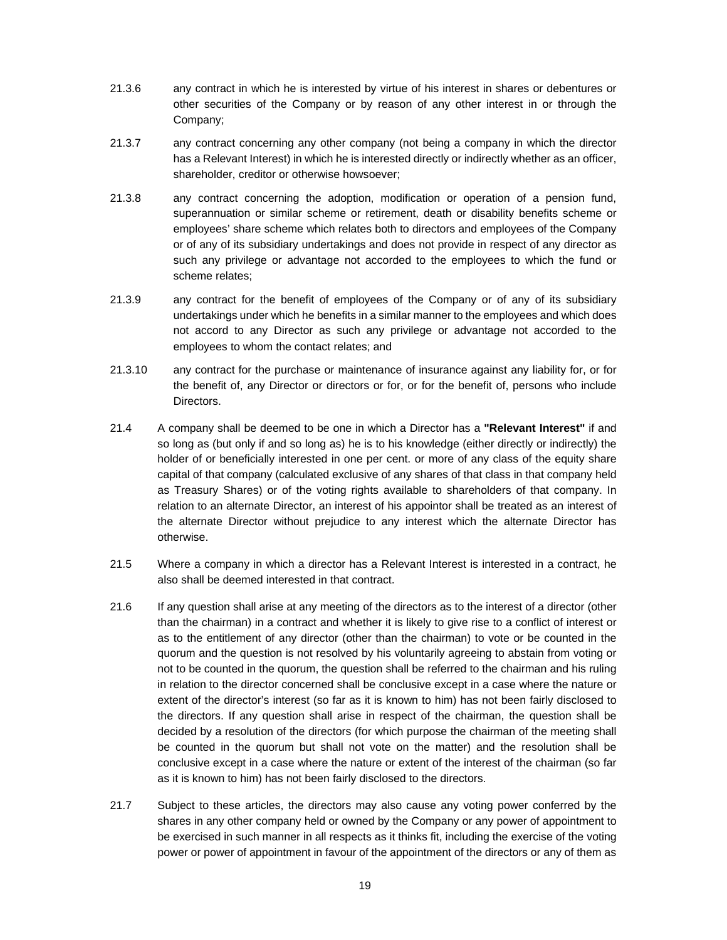- 21.3.6 any contract in which he is interested by virtue of his interest in shares or debentures or other securities of the Company or by reason of any other interest in or through the Company;
- 21.3.7 any contract concerning any other company (not being a company in which the director has a Relevant Interest) in which he is interested directly or indirectly whether as an officer, shareholder, creditor or otherwise howsoever;
- 21.3.8 any contract concerning the adoption, modification or operation of a pension fund, superannuation or similar scheme or retirement, death or disability benefits scheme or employees' share scheme which relates both to directors and employees of the Company or of any of its subsidiary undertakings and does not provide in respect of any director as such any privilege or advantage not accorded to the employees to which the fund or scheme relates;
- 21.3.9 any contract for the benefit of employees of the Company or of any of its subsidiary undertakings under which he benefits in a similar manner to the employees and which does not accord to any Director as such any privilege or advantage not accorded to the employees to whom the contact relates; and
- 21.3.10 any contract for the purchase or maintenance of insurance against any liability for, or for the benefit of, any Director or directors or for, or for the benefit of, persons who include Directors.
- 21.4 A company shall be deemed to be one in which a Director has a **"Relevant Interest"** if and so long as (but only if and so long as) he is to his knowledge (either directly or indirectly) the holder of or beneficially interested in one per cent. or more of any class of the equity share capital of that company (calculated exclusive of any shares of that class in that company held as Treasury Shares) or of the voting rights available to shareholders of that company. In relation to an alternate Director, an interest of his appointor shall be treated as an interest of the alternate Director without prejudice to any interest which the alternate Director has otherwise.
- 21.5 Where a company in which a director has a Relevant Interest is interested in a contract, he also shall be deemed interested in that contract.
- 21.6 If any question shall arise at any meeting of the directors as to the interest of a director (other than the chairman) in a contract and whether it is likely to give rise to a conflict of interest or as to the entitlement of any director (other than the chairman) to vote or be counted in the quorum and the question is not resolved by his voluntarily agreeing to abstain from voting or not to be counted in the quorum, the question shall be referred to the chairman and his ruling in relation to the director concerned shall be conclusive except in a case where the nature or extent of the director's interest (so far as it is known to him) has not been fairly disclosed to the directors. If any question shall arise in respect of the chairman, the question shall be decided by a resolution of the directors (for which purpose the chairman of the meeting shall be counted in the quorum but shall not vote on the matter) and the resolution shall be conclusive except in a case where the nature or extent of the interest of the chairman (so far as it is known to him) has not been fairly disclosed to the directors.
- 21.7 Subject to these articles, the directors may also cause any voting power conferred by the shares in any other company held or owned by the Company or any power of appointment to be exercised in such manner in all respects as it thinks fit, including the exercise of the voting power or power of appointment in favour of the appointment of the directors or any of them as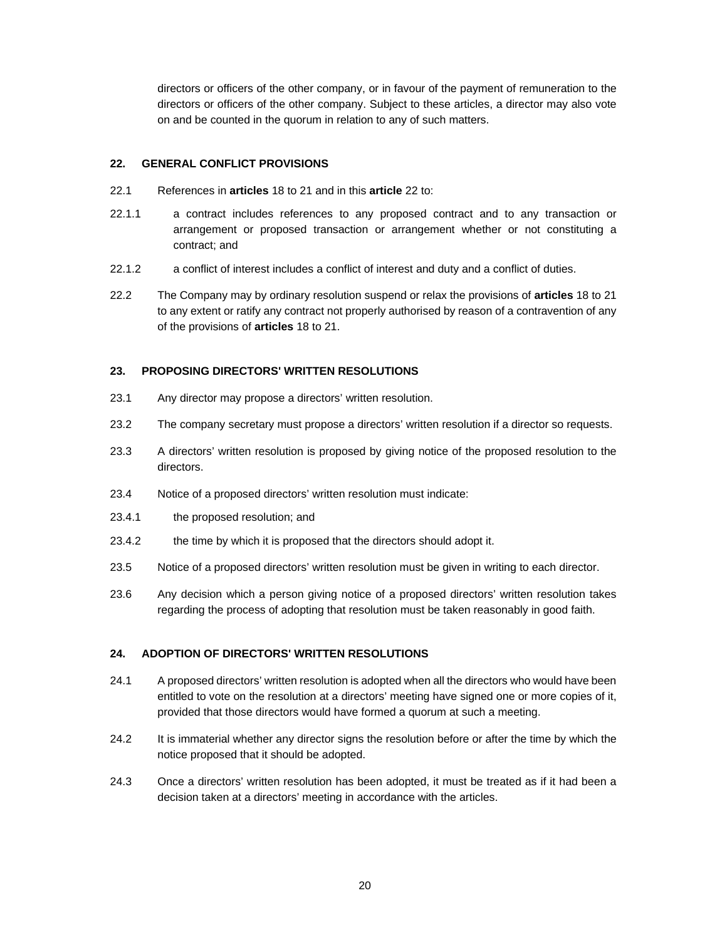directors or officers of the other company, or in favour of the payment of remuneration to the directors or officers of the other company. Subject to these articles, a director may also vote on and be counted in the quorum in relation to any of such matters.

# **22. GENERAL CONFLICT PROVISIONS**

- 22.1 References in **articles** 18 to 21 and in this **article** 22 to:
- 22.1.1 a contract includes references to any proposed contract and to any transaction or arrangement or proposed transaction or arrangement whether or not constituting a contract; and
- 22.1.2 a conflict of interest includes a conflict of interest and duty and a conflict of duties.
- 22.2 The Company may by ordinary resolution suspend or relax the provisions of **articles** 18 to 21 to any extent or ratify any contract not properly authorised by reason of a contravention of any of the provisions of **articles** 18 to 21.

# **23. PROPOSING DIRECTORS' WRITTEN RESOLUTIONS**

- 23.1 Any director may propose a directors' written resolution.
- 23.2 The company secretary must propose a directors' written resolution if a director so requests.
- 23.3 A directors' written resolution is proposed by giving notice of the proposed resolution to the directors.
- 23.4 Notice of a proposed directors' written resolution must indicate:
- 23.4.1 the proposed resolution; and
- 23.4.2 the time by which it is proposed that the directors should adopt it.
- 23.5 Notice of a proposed directors' written resolution must be given in writing to each director.
- 23.6 Any decision which a person giving notice of a proposed directors' written resolution takes regarding the process of adopting that resolution must be taken reasonably in good faith.

# **24. ADOPTION OF DIRECTORS' WRITTEN RESOLUTIONS**

- 24.1 A proposed directors' written resolution is adopted when all the directors who would have been entitled to vote on the resolution at a directors' meeting have signed one or more copies of it, provided that those directors would have formed a quorum at such a meeting.
- 24.2 It is immaterial whether any director signs the resolution before or after the time by which the notice proposed that it should be adopted.
- 24.3 Once a directors' written resolution has been adopted, it must be treated as if it had been a decision taken at a directors' meeting in accordance with the articles.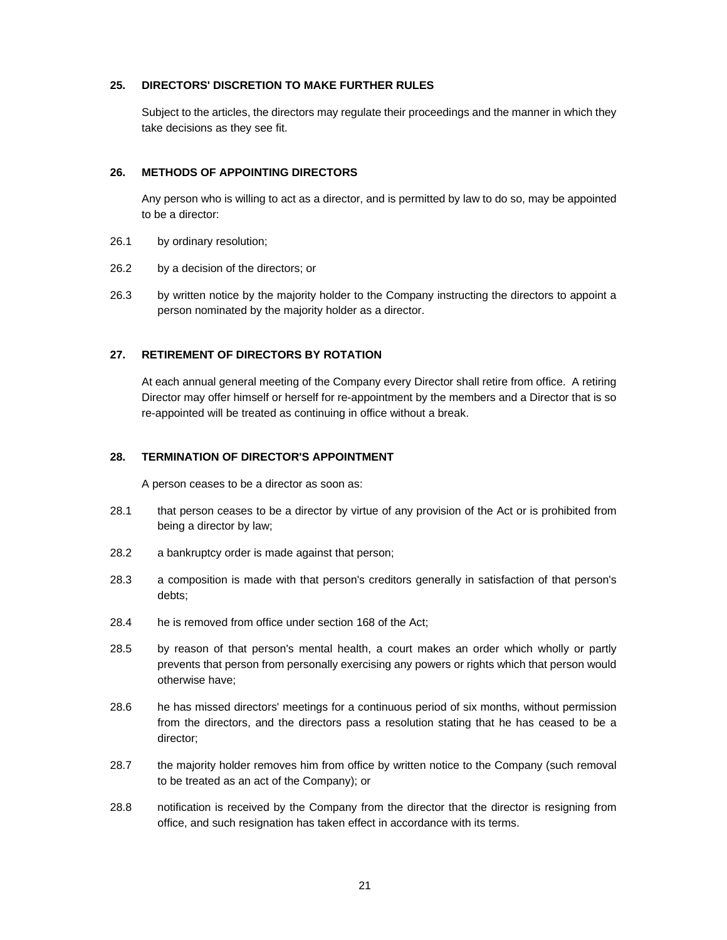### **25. DIRECTORS' DISCRETION TO MAKE FURTHER RULES**

Subject to the articles, the directors may regulate their proceedings and the manner in which they take decisions as they see fit.

# **26. METHODS OF APPOINTING DIRECTORS**

Any person who is willing to act as a director, and is permitted by law to do so, may be appointed to be a director:

- 26.1 by ordinary resolution;
- 26.2 by a decision of the directors; or
- 26.3 by written notice by the majority holder to the Company instructing the directors to appoint a person nominated by the majority holder as a director.

# **27. RETIREMENT OF DIRECTORS BY ROTATION**

At each annual general meeting of the Company every Director shall retire from office. A retiring Director may offer himself or herself for re-appointment by the members and a Director that is so re-appointed will be treated as continuing in office without a break.

# **28. TERMINATION OF DIRECTOR'S APPOINTMENT**

A person ceases to be a director as soon as:

- 28.1 that person ceases to be a director by virtue of any provision of the Act or is prohibited from being a director by law;
- 28.2 a bankruptcy order is made against that person;
- 28.3 a composition is made with that person's creditors generally in satisfaction of that person's debts;
- 28.4 he is removed from office under section 168 of the Act;
- 28.5 by reason of that person's mental health, a court makes an order which wholly or partly prevents that person from personally exercising any powers or rights which that person would otherwise have;
- 28.6 he has missed directors' meetings for a continuous period of six months, without permission from the directors, and the directors pass a resolution stating that he has ceased to be a director;
- 28.7 the majority holder removes him from office by written notice to the Company (such removal to be treated as an act of the Company); or
- 28.8 notification is received by the Company from the director that the director is resigning from office, and such resignation has taken effect in accordance with its terms.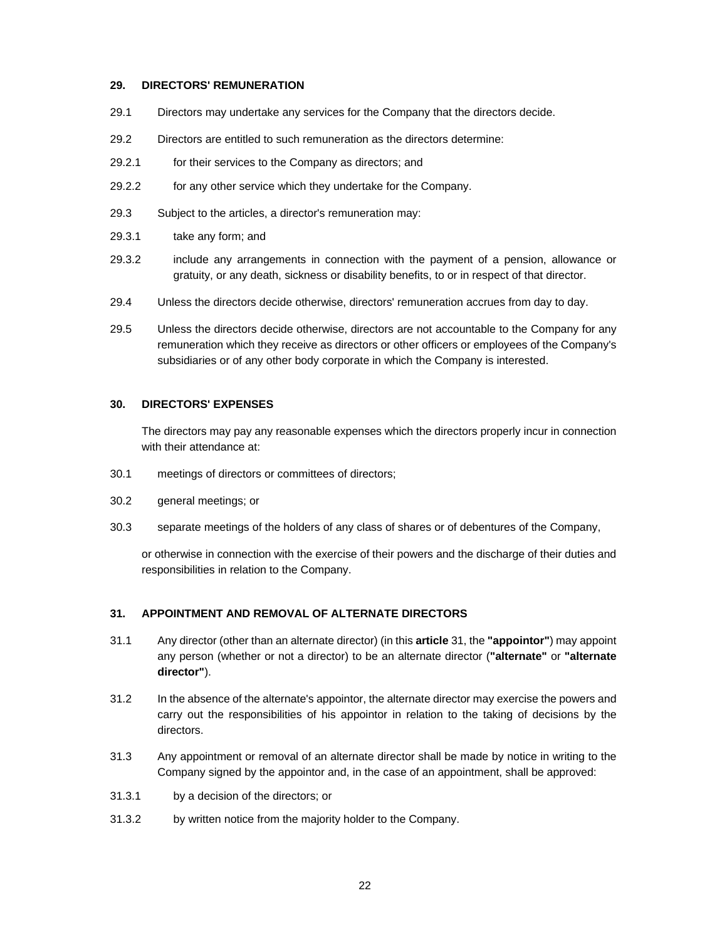### **29. DIRECTORS' REMUNERATION**

- 29.1 Directors may undertake any services for the Company that the directors decide.
- 29.2 Directors are entitled to such remuneration as the directors determine:
- 29.2.1 for their services to the Company as directors; and
- 29.2.2 for any other service which they undertake for the Company.
- 29.3 Subject to the articles, a director's remuneration may:
- 29.3.1 take any form; and
- 29.3.2 include any arrangements in connection with the payment of a pension, allowance or gratuity, or any death, sickness or disability benefits, to or in respect of that director.
- 29.4 Unless the directors decide otherwise, directors' remuneration accrues from day to day.
- 29.5 Unless the directors decide otherwise, directors are not accountable to the Company for any remuneration which they receive as directors or other officers or employees of the Company's subsidiaries or of any other body corporate in which the Company is interested.

### **30. DIRECTORS' EXPENSES**

The directors may pay any reasonable expenses which the directors properly incur in connection with their attendance at:

- 30.1 meetings of directors or committees of directors;
- 30.2 general meetings; or
- 30.3 separate meetings of the holders of any class of shares or of debentures of the Company,

or otherwise in connection with the exercise of their powers and the discharge of their duties and responsibilities in relation to the Company.

# **31. APPOINTMENT AND REMOVAL OF ALTERNATE DIRECTORS**

- 31.1 Any director (other than an alternate director) (in this **article** 31, the **"appointor"**) may appoint any person (whether or not a director) to be an alternate director (**"alternate"** or **"alternate director"**).
- 31.2 In the absence of the alternate's appointor, the alternate director may exercise the powers and carry out the responsibilities of his appointor in relation to the taking of decisions by the directors.
- 31.3 Any appointment or removal of an alternate director shall be made by notice in writing to the Company signed by the appointor and, in the case of an appointment, shall be approved:
- 31.3.1 by a decision of the directors; or
- 31.3.2 by written notice from the majority holder to the Company.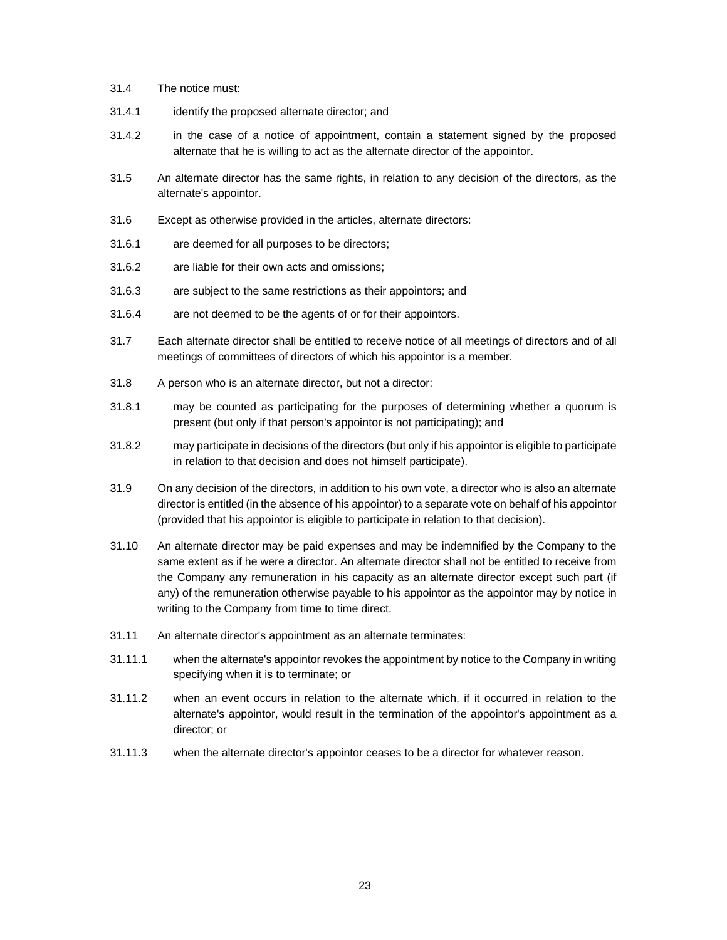- 31.4 The notice must:
- 31.4.1 identify the proposed alternate director; and
- 31.4.2 in the case of a notice of appointment, contain a statement signed by the proposed alternate that he is willing to act as the alternate director of the appointor.
- 31.5 An alternate director has the same rights, in relation to any decision of the directors, as the alternate's appointor.
- 31.6 Except as otherwise provided in the articles, alternate directors:
- 31.6.1 are deemed for all purposes to be directors;
- 31.6.2 are liable for their own acts and omissions;
- 31.6.3 are subject to the same restrictions as their appointors; and
- 31.6.4 are not deemed to be the agents of or for their appointors.
- 31.7 Each alternate director shall be entitled to receive notice of all meetings of directors and of all meetings of committees of directors of which his appointor is a member.
- 31.8 A person who is an alternate director, but not a director:
- 31.8.1 may be counted as participating for the purposes of determining whether a quorum is present (but only if that person's appointor is not participating); and
- 31.8.2 may participate in decisions of the directors (but only if his appointor is eligible to participate in relation to that decision and does not himself participate).
- 31.9 On any decision of the directors, in addition to his own vote, a director who is also an alternate director is entitled (in the absence of his appointor) to a separate vote on behalf of his appointor (provided that his appointor is eligible to participate in relation to that decision).
- 31.10 An alternate director may be paid expenses and may be indemnified by the Company to the same extent as if he were a director. An alternate director shall not be entitled to receive from the Company any remuneration in his capacity as an alternate director except such part (if any) of the remuneration otherwise payable to his appointor as the appointor may by notice in writing to the Company from time to time direct.
- 31.11 An alternate director's appointment as an alternate terminates:
- 31.11.1 when the alternate's appointor revokes the appointment by notice to the Company in writing specifying when it is to terminate; or
- 31.11.2 when an event occurs in relation to the alternate which, if it occurred in relation to the alternate's appointor, would result in the termination of the appointor's appointment as a director; or
- 31.11.3 when the alternate director's appointor ceases to be a director for whatever reason.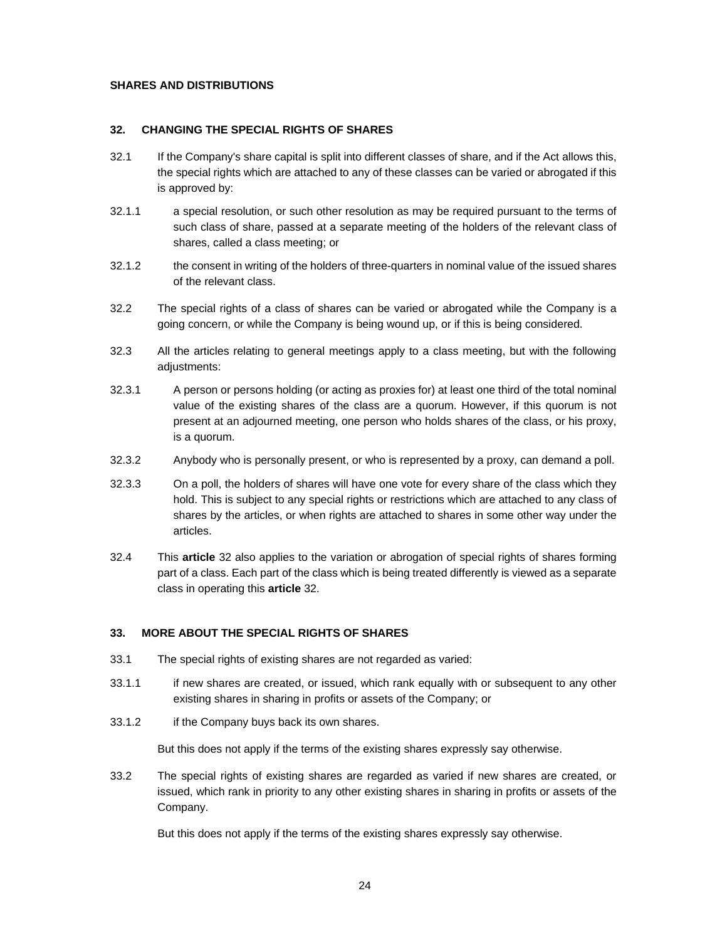# **SHARES AND DISTRIBUTIONS**

### **32. CHANGING THE SPECIAL RIGHTS OF SHARES**

- 32.1 If the Company's share capital is split into different classes of share, and if the Act allows this, the special rights which are attached to any of these classes can be varied or abrogated if this is approved by:
- 32.1.1 a special resolution, or such other resolution as may be required pursuant to the terms of such class of share, passed at a separate meeting of the holders of the relevant class of shares, called a class meeting; or
- 32.1.2 the consent in writing of the holders of three-quarters in nominal value of the issued shares of the relevant class.
- 32.2 The special rights of a class of shares can be varied or abrogated while the Company is a going concern, or while the Company is being wound up, or if this is being considered.
- 32.3 All the articles relating to general meetings apply to a class meeting, but with the following adjustments:
- 32.3.1 A person or persons holding (or acting as proxies for) at least one third of the total nominal value of the existing shares of the class are a quorum. However, if this quorum is not present at an adjourned meeting, one person who holds shares of the class, or his proxy, is a quorum.
- 32.3.2 Anybody who is personally present, or who is represented by a proxy, can demand a poll.
- 32.3.3 On a poll, the holders of shares will have one vote for every share of the class which they hold. This is subject to any special rights or restrictions which are attached to any class of shares by the articles, or when rights are attached to shares in some other way under the articles.
- 32.4 This **article** 32 also applies to the variation or abrogation of special rights of shares forming part of a class. Each part of the class which is being treated differently is viewed as a separate class in operating this **article** 32.

# **33. MORE ABOUT THE SPECIAL RIGHTS OF SHARES**

- 33.1 The special rights of existing shares are not regarded as varied:
- 33.1.1 if new shares are created, or issued, which rank equally with or subsequent to any other existing shares in sharing in profits or assets of the Company; or
- 33.1.2 if the Company buys back its own shares.

But this does not apply if the terms of the existing shares expressly say otherwise.

33.2 The special rights of existing shares are regarded as varied if new shares are created, or issued, which rank in priority to any other existing shares in sharing in profits or assets of the Company.

But this does not apply if the terms of the existing shares expressly say otherwise.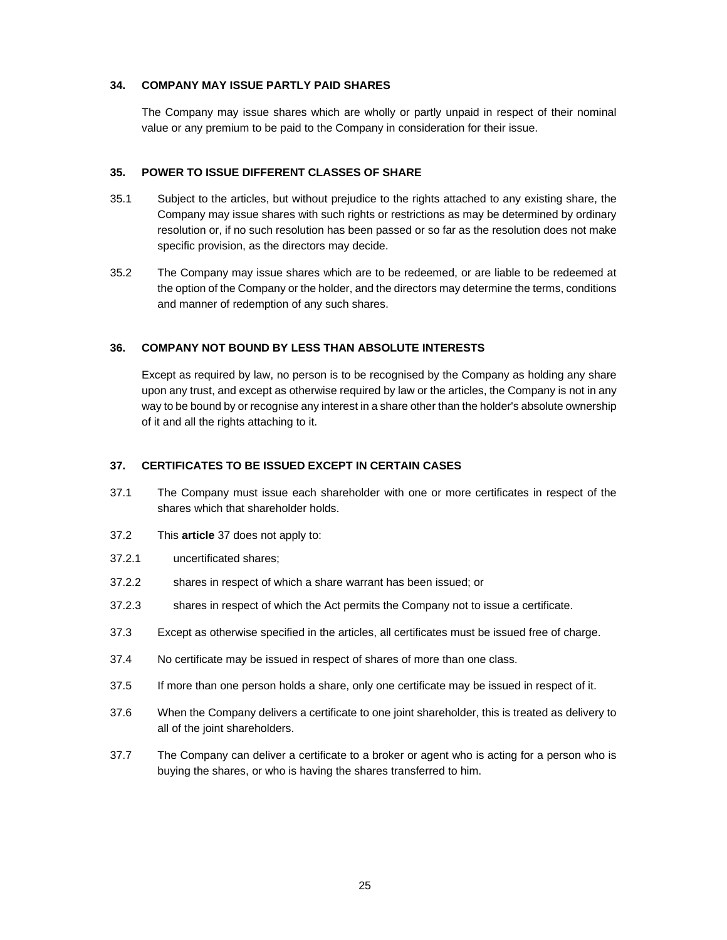# **34. COMPANY MAY ISSUE PARTLY PAID SHARES**

The Company may issue shares which are wholly or partly unpaid in respect of their nominal value or any premium to be paid to the Company in consideration for their issue.

# **35. POWER TO ISSUE DIFFERENT CLASSES OF SHARE**

- 35.1 Subject to the articles, but without prejudice to the rights attached to any existing share, the Company may issue shares with such rights or restrictions as may be determined by ordinary resolution or, if no such resolution has been passed or so far as the resolution does not make specific provision, as the directors may decide.
- 35.2 The Company may issue shares which are to be redeemed, or are liable to be redeemed at the option of the Company or the holder, and the directors may determine the terms, conditions and manner of redemption of any such shares.

# **36. COMPANY NOT BOUND BY LESS THAN ABSOLUTE INTERESTS**

Except as required by law, no person is to be recognised by the Company as holding any share upon any trust, and except as otherwise required by law or the articles, the Company is not in any way to be bound by or recognise any interest in a share other than the holder's absolute ownership of it and all the rights attaching to it.

# **37. CERTIFICATES TO BE ISSUED EXCEPT IN CERTAIN CASES**

- 37.1 The Company must issue each shareholder with one or more certificates in respect of the shares which that shareholder holds.
- 37.2 This **article** 37 does not apply to:
- 37.2.1 uncertificated shares;
- 37.2.2 shares in respect of which a share warrant has been issued; or
- 37.2.3 shares in respect of which the Act permits the Company not to issue a certificate.
- 37.3 Except as otherwise specified in the articles, all certificates must be issued free of charge.
- 37.4 No certificate may be issued in respect of shares of more than one class.
- 37.5 If more than one person holds a share, only one certificate may be issued in respect of it.
- 37.6 When the Company delivers a certificate to one joint shareholder, this is treated as delivery to all of the joint shareholders.
- 37.7 The Company can deliver a certificate to a broker or agent who is acting for a person who is buying the shares, or who is having the shares transferred to him.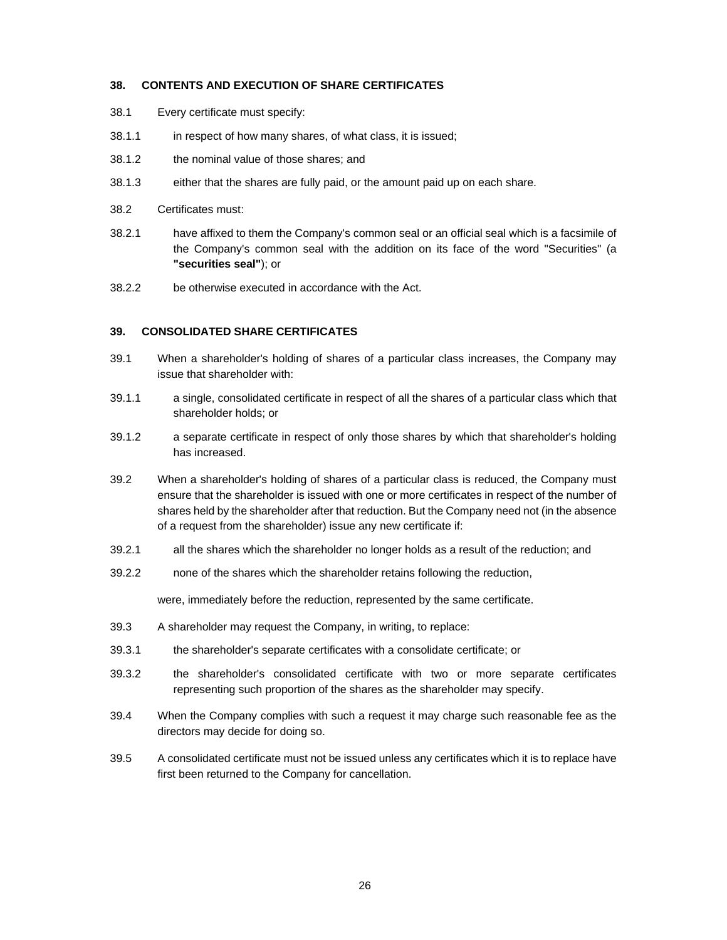### **38. CONTENTS AND EXECUTION OF SHARE CERTIFICATES**

- 38.1 Every certificate must specify:
- 38.1.1 in respect of how many shares, of what class, it is issued;
- 38.1.2 the nominal value of those shares; and
- 38.1.3 either that the shares are fully paid, or the amount paid up on each share.
- 38.2 Certificates must:
- 38.2.1 have affixed to them the Company's common seal or an official seal which is a facsimile of the Company's common seal with the addition on its face of the word "Securities" (a **"securities seal"**); or
- 38.2.2 be otherwise executed in accordance with the Act.

# **39. CONSOLIDATED SHARE CERTIFICATES**

- 39.1 When a shareholder's holding of shares of a particular class increases, the Company may issue that shareholder with:
- 39.1.1 a single, consolidated certificate in respect of all the shares of a particular class which that shareholder holds; or
- 39.1.2 a separate certificate in respect of only those shares by which that shareholder's holding has increased.
- 39.2 When a shareholder's holding of shares of a particular class is reduced, the Company must ensure that the shareholder is issued with one or more certificates in respect of the number of shares held by the shareholder after that reduction. But the Company need not (in the absence of a request from the shareholder) issue any new certificate if:
- 39.2.1 all the shares which the shareholder no longer holds as a result of the reduction; and
- 39.2.2 none of the shares which the shareholder retains following the reduction,

were, immediately before the reduction, represented by the same certificate.

- 39.3 A shareholder may request the Company, in writing, to replace:
- 39.3.1 the shareholder's separate certificates with a consolidate certificate; or
- 39.3.2 the shareholder's consolidated certificate with two or more separate certificates representing such proportion of the shares as the shareholder may specify.
- 39.4 When the Company complies with such a request it may charge such reasonable fee as the directors may decide for doing so.
- 39.5 A consolidated certificate must not be issued unless any certificates which it is to replace have first been returned to the Company for cancellation.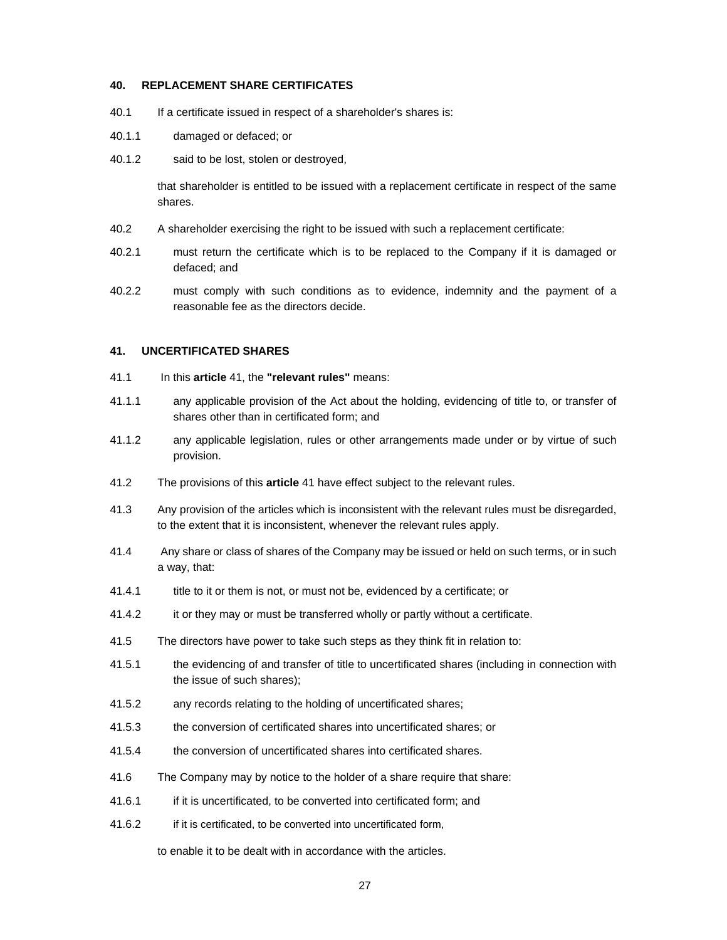### **40. REPLACEMENT SHARE CERTIFICATES**

- 40.1 If a certificate issued in respect of a shareholder's shares is:
- 40.1.1 damaged or defaced; or
- 40.1.2 said to be lost, stolen or destroyed,

that shareholder is entitled to be issued with a replacement certificate in respect of the same shares.

- 40.2 A shareholder exercising the right to be issued with such a replacement certificate:
- 40.2.1 must return the certificate which is to be replaced to the Company if it is damaged or defaced; and
- 40.2.2 must comply with such conditions as to evidence, indemnity and the payment of a reasonable fee as the directors decide.

#### **41. UNCERTIFICATED SHARES**

- 41.1 In this **article** 41, the **"relevant rules"** means:
- 41.1.1 any applicable provision of the Act about the holding, evidencing of title to, or transfer of shares other than in certificated form; and
- 41.1.2 any applicable legislation, rules or other arrangements made under or by virtue of such provision.
- 41.2 The provisions of this **article** 41 have effect subject to the relevant rules.
- 41.3 Any provision of the articles which is inconsistent with the relevant rules must be disregarded, to the extent that it is inconsistent, whenever the relevant rules apply.
- 41.4 Any share or class of shares of the Company may be issued or held on such terms, or in such a way, that:
- 41.4.1 title to it or them is not, or must not be, evidenced by a certificate; or
- 41.4.2 it or they may or must be transferred wholly or partly without a certificate.
- 41.5 The directors have power to take such steps as they think fit in relation to:
- 41.5.1 the evidencing of and transfer of title to uncertificated shares (including in connection with the issue of such shares);
- 41.5.2 any records relating to the holding of uncertificated shares;
- 41.5.3 the conversion of certificated shares into uncertificated shares; or
- 41.5.4 the conversion of uncertificated shares into certificated shares.
- 41.6 The Company may by notice to the holder of a share require that share:
- 41.6.1 if it is uncertificated, to be converted into certificated form; and
- 41.6.2 if it is certificated, to be converted into uncertificated form,

to enable it to be dealt with in accordance with the articles.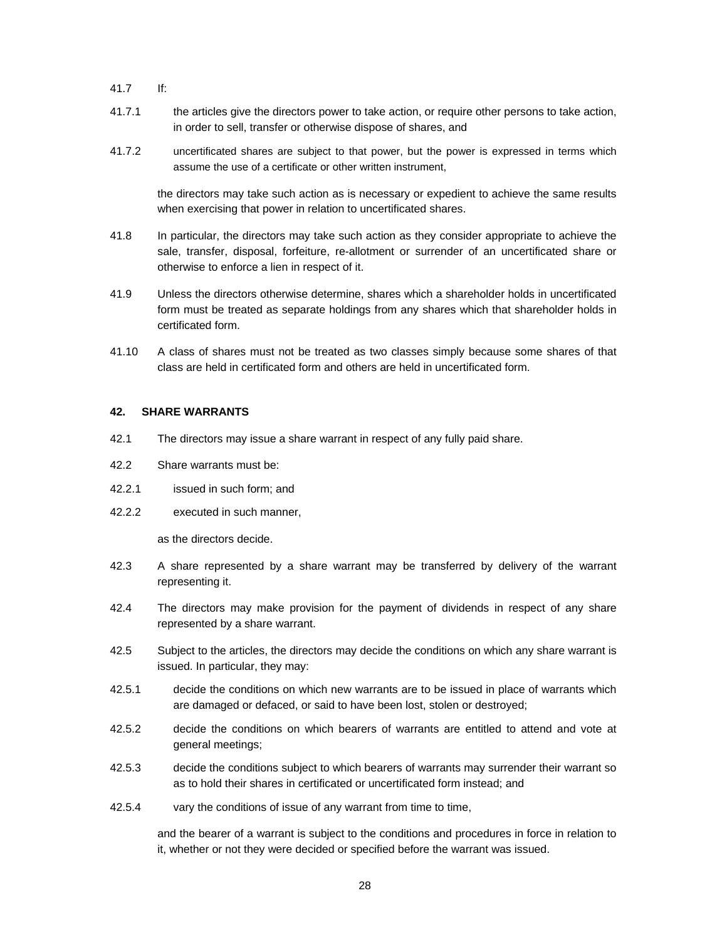- 41.7 If:
- 41.7.1 the articles give the directors power to take action, or require other persons to take action, in order to sell, transfer or otherwise dispose of shares, and
- 41.7.2 uncertificated shares are subject to that power, but the power is expressed in terms which assume the use of a certificate or other written instrument,

the directors may take such action as is necessary or expedient to achieve the same results when exercising that power in relation to uncertificated shares.

- 41.8 In particular, the directors may take such action as they consider appropriate to achieve the sale, transfer, disposal, forfeiture, re-allotment or surrender of an uncertificated share or otherwise to enforce a lien in respect of it.
- 41.9 Unless the directors otherwise determine, shares which a shareholder holds in uncertificated form must be treated as separate holdings from any shares which that shareholder holds in certificated form.
- 41.10 A class of shares must not be treated as two classes simply because some shares of that class are held in certificated form and others are held in uncertificated form.

# **42. SHARE WARRANTS**

- 42.1 The directors may issue a share warrant in respect of any fully paid share.
- 42.2 Share warrants must be:
- 42.2.1 issued in such form; and
- 42.2.2 executed in such manner,

as the directors decide.

- 42.3 A share represented by a share warrant may be transferred by delivery of the warrant representing it.
- 42.4 The directors may make provision for the payment of dividends in respect of any share represented by a share warrant.
- 42.5 Subject to the articles, the directors may decide the conditions on which any share warrant is issued. In particular, they may:
- 42.5.1 decide the conditions on which new warrants are to be issued in place of warrants which are damaged or defaced, or said to have been lost, stolen or destroyed;
- 42.5.2 decide the conditions on which bearers of warrants are entitled to attend and vote at general meetings;
- 42.5.3 decide the conditions subject to which bearers of warrants may surrender their warrant so as to hold their shares in certificated or uncertificated form instead; and
- 42.5.4 vary the conditions of issue of any warrant from time to time,

and the bearer of a warrant is subject to the conditions and procedures in force in relation to it, whether or not they were decided or specified before the warrant was issued.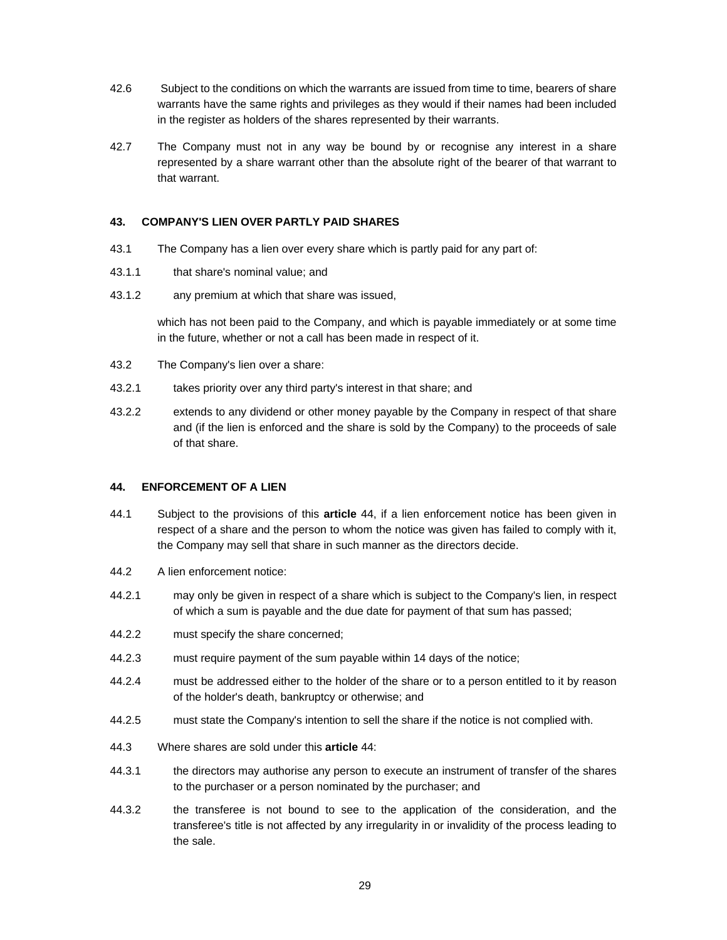- 42.6 Subject to the conditions on which the warrants are issued from time to time, bearers of share warrants have the same rights and privileges as they would if their names had been included in the register as holders of the shares represented by their warrants.
- 42.7 The Company must not in any way be bound by or recognise any interest in a share represented by a share warrant other than the absolute right of the bearer of that warrant to that warrant.

# **43. COMPANY'S LIEN OVER PARTLY PAID SHARES**

- 43.1 The Company has a lien over every share which is partly paid for any part of:
- 43.1.1 that share's nominal value; and
- 43.1.2 any premium at which that share was issued,

which has not been paid to the Company, and which is payable immediately or at some time in the future, whether or not a call has been made in respect of it.

- 43.2 The Company's lien over a share:
- 43.2.1 takes priority over any third party's interest in that share; and
- 43.2.2 extends to any dividend or other money payable by the Company in respect of that share and (if the lien is enforced and the share is sold by the Company) to the proceeds of sale of that share.

### **44. ENFORCEMENT OF A LIEN**

- 44.1 Subject to the provisions of this **article** 44, if a lien enforcement notice has been given in respect of a share and the person to whom the notice was given has failed to comply with it, the Company may sell that share in such manner as the directors decide.
- 44.2 A lien enforcement notice:
- 44.2.1 may only be given in respect of a share which is subject to the Company's lien, in respect of which a sum is payable and the due date for payment of that sum has passed;
- 44.2.2 must specify the share concerned;
- 44.2.3 must require payment of the sum payable within 14 days of the notice;
- 44.2.4 must be addressed either to the holder of the share or to a person entitled to it by reason of the holder's death, bankruptcy or otherwise; and
- 44.2.5 must state the Company's intention to sell the share if the notice is not complied with.
- 44.3 Where shares are sold under this **article** 44:
- 44.3.1 the directors may authorise any person to execute an instrument of transfer of the shares to the purchaser or a person nominated by the purchaser; and
- 44.3.2 the transferee is not bound to see to the application of the consideration, and the transferee's title is not affected by any irregularity in or invalidity of the process leading to the sale.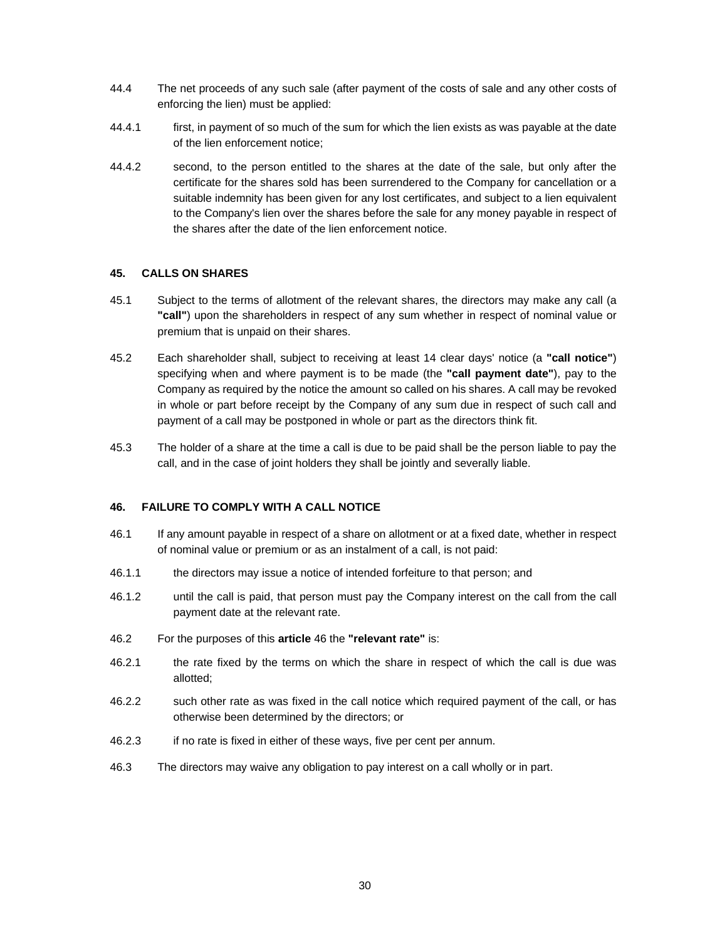- 44.4 The net proceeds of any such sale (after payment of the costs of sale and any other costs of enforcing the lien) must be applied:
- 44.4.1 first, in payment of so much of the sum for which the lien exists as was payable at the date of the lien enforcement notice;
- 44.4.2 second, to the person entitled to the shares at the date of the sale, but only after the certificate for the shares sold has been surrendered to the Company for cancellation or a suitable indemnity has been given for any lost certificates, and subject to a lien equivalent to the Company's lien over the shares before the sale for any money payable in respect of the shares after the date of the lien enforcement notice.

# **45. CALLS ON SHARES**

- 45.1 Subject to the terms of allotment of the relevant shares, the directors may make any call (a **"call"**) upon the shareholders in respect of any sum whether in respect of nominal value or premium that is unpaid on their shares.
- 45.2 Each shareholder shall, subject to receiving at least 14 clear days' notice (a **"call notice"**) specifying when and where payment is to be made (the **"call payment date"**), pay to the Company as required by the notice the amount so called on his shares. A call may be revoked in whole or part before receipt by the Company of any sum due in respect of such call and payment of a call may be postponed in whole or part as the directors think fit.
- 45.3 The holder of a share at the time a call is due to be paid shall be the person liable to pay the call, and in the case of joint holders they shall be jointly and severally liable.

### **46. FAILURE TO COMPLY WITH A CALL NOTICE**

- 46.1 If any amount payable in respect of a share on allotment or at a fixed date, whether in respect of nominal value or premium or as an instalment of a call, is not paid:
- 46.1.1 the directors may issue a notice of intended forfeiture to that person; and
- 46.1.2 until the call is paid, that person must pay the Company interest on the call from the call payment date at the relevant rate.
- 46.2 For the purposes of this **article** 46 the **"relevant rate"** is:
- 46.2.1 the rate fixed by the terms on which the share in respect of which the call is due was allotted;
- 46.2.2 such other rate as was fixed in the call notice which required payment of the call, or has otherwise been determined by the directors; or
- 46.2.3 if no rate is fixed in either of these ways, five per cent per annum.
- 46.3 The directors may waive any obligation to pay interest on a call wholly or in part.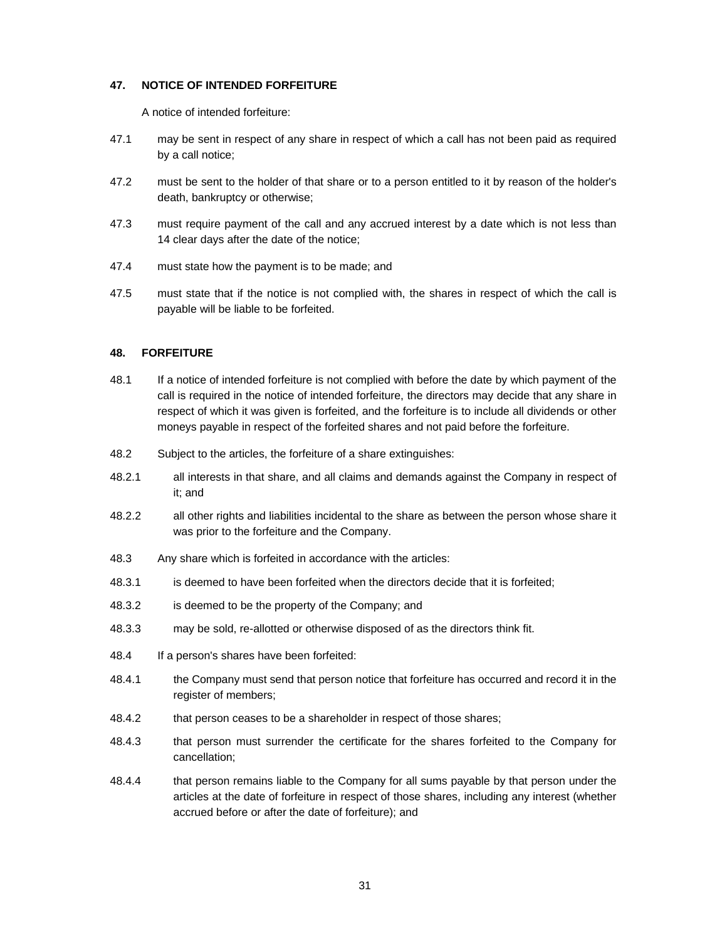# **47. NOTICE OF INTENDED FORFEITURE**

A notice of intended forfeiture:

- 47.1 may be sent in respect of any share in respect of which a call has not been paid as required by a call notice;
- 47.2 must be sent to the holder of that share or to a person entitled to it by reason of the holder's death, bankruptcy or otherwise;
- 47.3 must require payment of the call and any accrued interest by a date which is not less than 14 clear days after the date of the notice;
- 47.4 must state how the payment is to be made; and
- 47.5 must state that if the notice is not complied with, the shares in respect of which the call is payable will be liable to be forfeited.

# **48. FORFEITURE**

- 48.1 If a notice of intended forfeiture is not complied with before the date by which payment of the call is required in the notice of intended forfeiture, the directors may decide that any share in respect of which it was given is forfeited, and the forfeiture is to include all dividends or other moneys payable in respect of the forfeited shares and not paid before the forfeiture.
- 48.2 Subject to the articles, the forfeiture of a share extinguishes:
- 48.2.1 all interests in that share, and all claims and demands against the Company in respect of it; and
- 48.2.2 all other rights and liabilities incidental to the share as between the person whose share it was prior to the forfeiture and the Company.
- 48.3 Any share which is forfeited in accordance with the articles:
- 48.3.1 is deemed to have been forfeited when the directors decide that it is forfeited;
- 48.3.2 is deemed to be the property of the Company; and
- 48.3.3 may be sold, re-allotted or otherwise disposed of as the directors think fit.
- 48.4 If a person's shares have been forfeited:
- 48.4.1 the Company must send that person notice that forfeiture has occurred and record it in the register of members;
- 48.4.2 that person ceases to be a shareholder in respect of those shares;
- 48.4.3 that person must surrender the certificate for the shares forfeited to the Company for cancellation;
- 48.4.4 that person remains liable to the Company for all sums payable by that person under the articles at the date of forfeiture in respect of those shares, including any interest (whether accrued before or after the date of forfeiture); and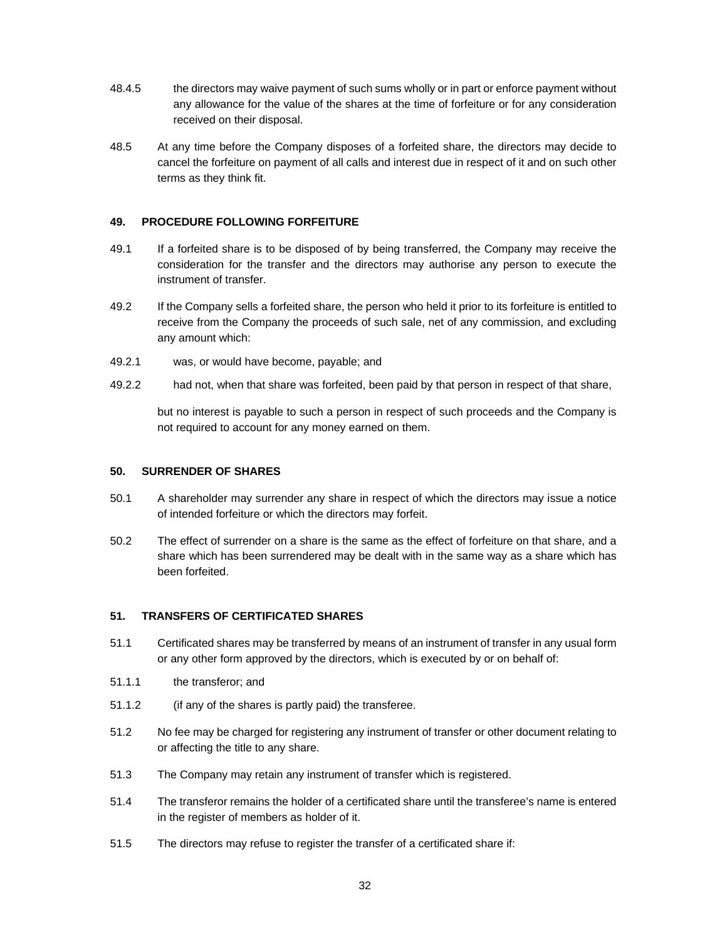- 48.4.5 the directors may waive payment of such sums wholly or in part or enforce payment without any allowance for the value of the shares at the time of forfeiture or for any consideration received on their disposal.
- 48.5 At any time before the Company disposes of a forfeited share, the directors may decide to cancel the forfeiture on payment of all calls and interest due in respect of it and on such other terms as they think fit.

# **49. PROCEDURE FOLLOWING FORFEITURE**

- 49.1 If a forfeited share is to be disposed of by being transferred, the Company may receive the consideration for the transfer and the directors may authorise any person to execute the instrument of transfer.
- 49.2 If the Company sells a forfeited share, the person who held it prior to its forfeiture is entitled to receive from the Company the proceeds of such sale, net of any commission, and excluding any amount which:
- 49.2.1 was, or would have become, payable; and
- 49.2.2 had not, when that share was forfeited, been paid by that person in respect of that share,

but no interest is payable to such a person in respect of such proceeds and the Company is not required to account for any money earned on them.

### **50. SURRENDER OF SHARES**

- 50.1 A shareholder may surrender any share in respect of which the directors may issue a notice of intended forfeiture or which the directors may forfeit.
- 50.2 The effect of surrender on a share is the same as the effect of forfeiture on that share, and a share which has been surrendered may be dealt with in the same way as a share which has been forfeited.

### **51. TRANSFERS OF CERTIFICATED SHARES**

- 51.1 Certificated shares may be transferred by means of an instrument of transfer in any usual form or any other form approved by the directors, which is executed by or on behalf of:
- 51.1.1 the transferor; and
- 51.1.2 (if any of the shares is partly paid) the transferee.
- 51.2 No fee may be charged for registering any instrument of transfer or other document relating to or affecting the title to any share.
- 51.3 The Company may retain any instrument of transfer which is registered.
- 51.4 The transferor remains the holder of a certificated share until the transferee's name is entered in the register of members as holder of it.
- 51.5 The directors may refuse to register the transfer of a certificated share if: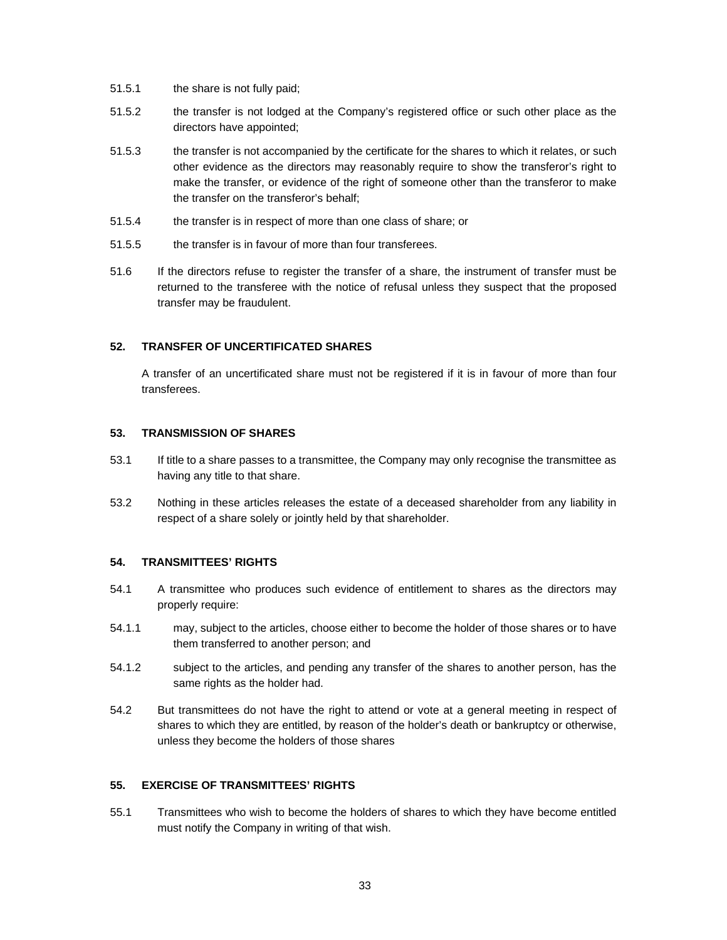- 51.5.1 the share is not fully paid;
- 51.5.2 the transfer is not lodged at the Company's registered office or such other place as the directors have appointed;
- 51.5.3 the transfer is not accompanied by the certificate for the shares to which it relates, or such other evidence as the directors may reasonably require to show the transferor's right to make the transfer, or evidence of the right of someone other than the transferor to make the transfer on the transferor's behalf;
- 51.5.4 the transfer is in respect of more than one class of share; or
- 51.5.5 the transfer is in favour of more than four transferees.
- 51.6 If the directors refuse to register the transfer of a share, the instrument of transfer must be returned to the transferee with the notice of refusal unless they suspect that the proposed transfer may be fraudulent.

# **52. TRANSFER OF UNCERTIFICATED SHARES**

A transfer of an uncertificated share must not be registered if it is in favour of more than four transferees.

### **53. TRANSMISSION OF SHARES**

- 53.1 If title to a share passes to a transmittee, the Company may only recognise the transmittee as having any title to that share.
- 53.2 Nothing in these articles releases the estate of a deceased shareholder from any liability in respect of a share solely or jointly held by that shareholder.

# **54. TRANSMITTEES' RIGHTS**

- 54.1 A transmittee who produces such evidence of entitlement to shares as the directors may properly require:
- 54.1.1 may, subject to the articles, choose either to become the holder of those shares or to have them transferred to another person; and
- 54.1.2 subject to the articles, and pending any transfer of the shares to another person, has the same rights as the holder had.
- 54.2 But transmittees do not have the right to attend or vote at a general meeting in respect of shares to which they are entitled, by reason of the holder's death or bankruptcy or otherwise, unless they become the holders of those shares

# **55. EXERCISE OF TRANSMITTEES' RIGHTS**

55.1 Transmittees who wish to become the holders of shares to which they have become entitled must notify the Company in writing of that wish.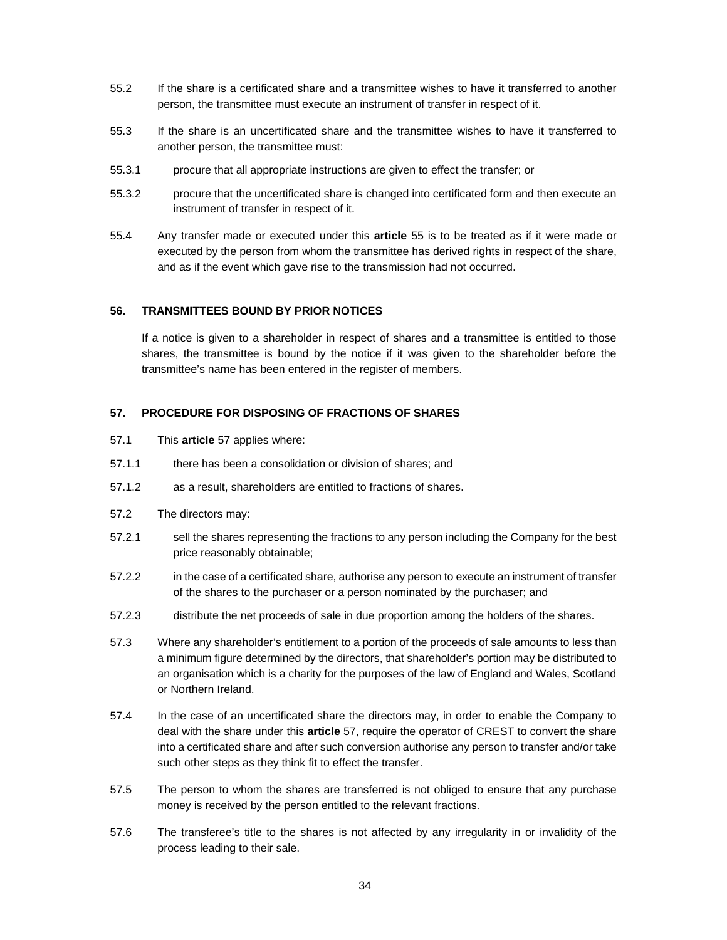- 55.2 If the share is a certificated share and a transmittee wishes to have it transferred to another person, the transmittee must execute an instrument of transfer in respect of it.
- 55.3 If the share is an uncertificated share and the transmittee wishes to have it transferred to another person, the transmittee must:
- 55.3.1 procure that all appropriate instructions are given to effect the transfer; or
- 55.3.2 procure that the uncertificated share is changed into certificated form and then execute an instrument of transfer in respect of it.
- 55.4 Any transfer made or executed under this **article** 55 is to be treated as if it were made or executed by the person from whom the transmittee has derived rights in respect of the share, and as if the event which gave rise to the transmission had not occurred.

# **56. TRANSMITTEES BOUND BY PRIOR NOTICES**

If a notice is given to a shareholder in respect of shares and a transmittee is entitled to those shares, the transmittee is bound by the notice if it was given to the shareholder before the transmittee's name has been entered in the register of members.

# **57. PROCEDURE FOR DISPOSING OF FRACTIONS OF SHARES**

- 57.1 This **article** 57 applies where:
- 57.1.1 there has been a consolidation or division of shares; and
- 57.1.2 as a result, shareholders are entitled to fractions of shares.
- 57.2 The directors may:
- 57.2.1 sell the shares representing the fractions to any person including the Company for the best price reasonably obtainable;
- 57.2.2 in the case of a certificated share, authorise any person to execute an instrument of transfer of the shares to the purchaser or a person nominated by the purchaser; and
- 57.2.3 distribute the net proceeds of sale in due proportion among the holders of the shares.
- 57.3 Where any shareholder's entitlement to a portion of the proceeds of sale amounts to less than a minimum figure determined by the directors, that shareholder's portion may be distributed to an organisation which is a charity for the purposes of the law of England and Wales, Scotland or Northern Ireland.
- 57.4 In the case of an uncertificated share the directors may, in order to enable the Company to deal with the share under this **article** 57, require the operator of CREST to convert the share into a certificated share and after such conversion authorise any person to transfer and/or take such other steps as they think fit to effect the transfer.
- 57.5 The person to whom the shares are transferred is not obliged to ensure that any purchase money is received by the person entitled to the relevant fractions.
- 57.6 The transferee's title to the shares is not affected by any irregularity in or invalidity of the process leading to their sale.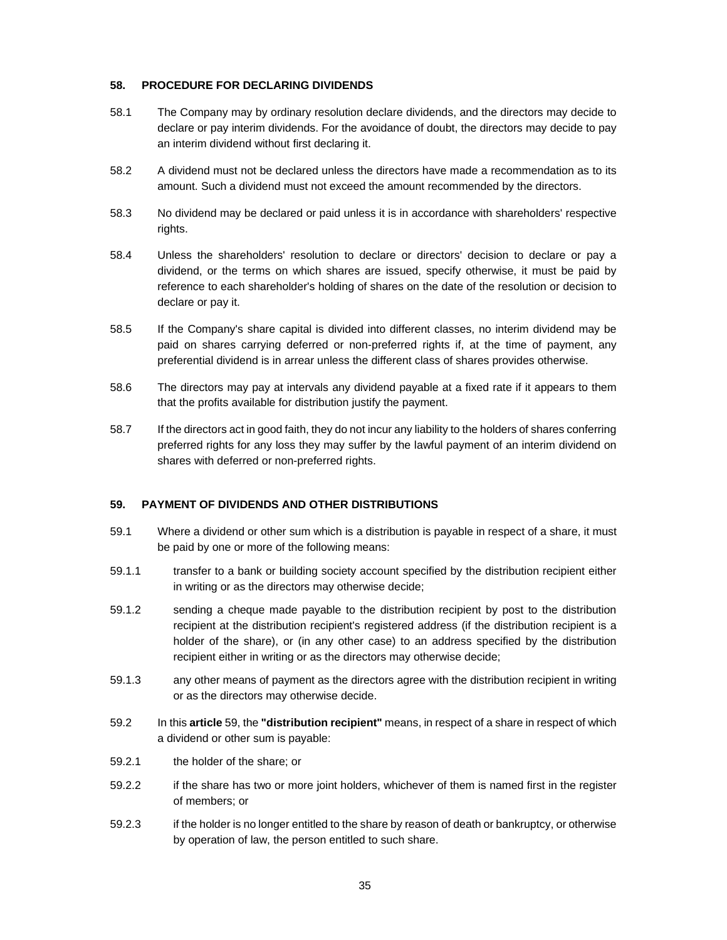# **58. PROCEDURE FOR DECLARING DIVIDENDS**

- 58.1 The Company may by ordinary resolution declare dividends, and the directors may decide to declare or pay interim dividends. For the avoidance of doubt, the directors may decide to pay an interim dividend without first declaring it.
- 58.2 A dividend must not be declared unless the directors have made a recommendation as to its amount. Such a dividend must not exceed the amount recommended by the directors.
- 58.3 No dividend may be declared or paid unless it is in accordance with shareholders' respective rights.
- 58.4 Unless the shareholders' resolution to declare or directors' decision to declare or pay a dividend, or the terms on which shares are issued, specify otherwise, it must be paid by reference to each shareholder's holding of shares on the date of the resolution or decision to declare or pay it.
- 58.5 If the Company's share capital is divided into different classes, no interim dividend may be paid on shares carrying deferred or non-preferred rights if, at the time of payment, any preferential dividend is in arrear unless the different class of shares provides otherwise.
- 58.6 The directors may pay at intervals any dividend payable at a fixed rate if it appears to them that the profits available for distribution justify the payment.
- 58.7 If the directors act in good faith, they do not incur any liability to the holders of shares conferring preferred rights for any loss they may suffer by the lawful payment of an interim dividend on shares with deferred or non-preferred rights.

# **59. PAYMENT OF DIVIDENDS AND OTHER DISTRIBUTIONS**

- 59.1 Where a dividend or other sum which is a distribution is payable in respect of a share, it must be paid by one or more of the following means:
- 59.1.1 transfer to a bank or building society account specified by the distribution recipient either in writing or as the directors may otherwise decide;
- 59.1.2 sending a cheque made payable to the distribution recipient by post to the distribution recipient at the distribution recipient's registered address (if the distribution recipient is a holder of the share), or (in any other case) to an address specified by the distribution recipient either in writing or as the directors may otherwise decide;
- 59.1.3 any other means of payment as the directors agree with the distribution recipient in writing or as the directors may otherwise decide.
- 59.2 In this **article** 59, the **"distribution recipient"** means, in respect of a share in respect of which a dividend or other sum is payable:
- 59.2.1 the holder of the share; or
- 59.2.2 if the share has two or more joint holders, whichever of them is named first in the register of members; or
- 59.2.3 if the holder is no longer entitled to the share by reason of death or bankruptcy, or otherwise by operation of law, the person entitled to such share.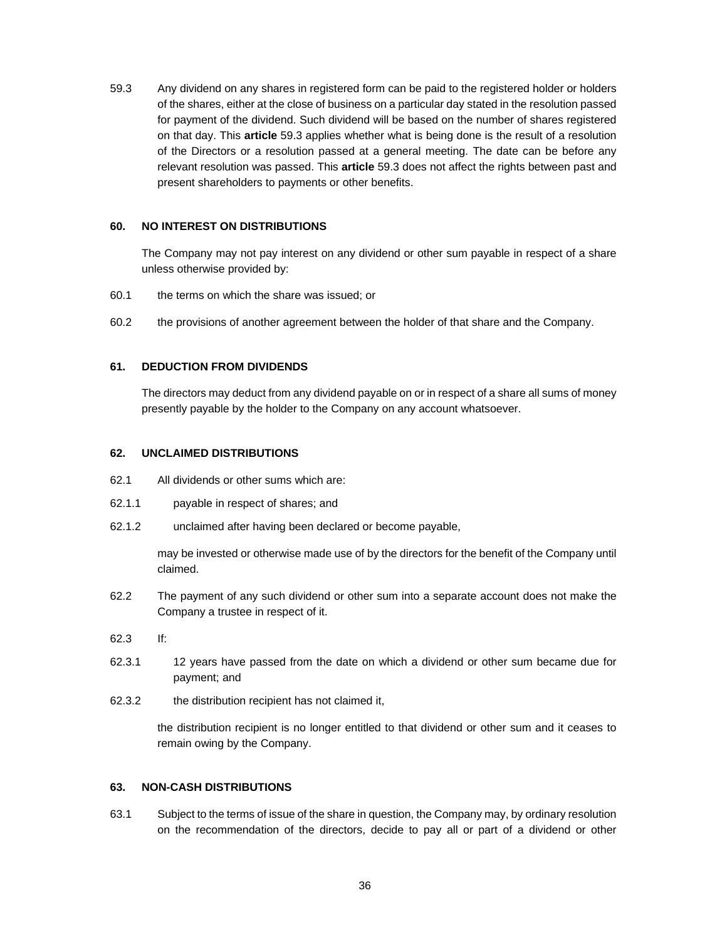59.3 Any dividend on any shares in registered form can be paid to the registered holder or holders of the shares, either at the close of business on a particular day stated in the resolution passed for payment of the dividend. Such dividend will be based on the number of shares registered on that day. This **article** 59.3 applies whether what is being done is the result of a resolution of the Directors or a resolution passed at a general meeting. The date can be before any relevant resolution was passed. This **article** 59.3 does not affect the rights between past and present shareholders to payments or other benefits.

# **60. NO INTEREST ON DISTRIBUTIONS**

The Company may not pay interest on any dividend or other sum payable in respect of a share unless otherwise provided by:

- 60.1 the terms on which the share was issued; or
- 60.2 the provisions of another agreement between the holder of that share and the Company.

# **61. DEDUCTION FROM DIVIDENDS**

The directors may deduct from any dividend payable on or in respect of a share all sums of money presently payable by the holder to the Company on any account whatsoever.

# **62. UNCLAIMED DISTRIBUTIONS**

- 62.1 All dividends or other sums which are:
- 62.1.1 payable in respect of shares; and
- 62.1.2 unclaimed after having been declared or become payable,

may be invested or otherwise made use of by the directors for the benefit of the Company until claimed.

- 62.2 The payment of any such dividend or other sum into a separate account does not make the Company a trustee in respect of it.
- 62.3 If:
- 62.3.1 12 years have passed from the date on which a dividend or other sum became due for payment; and
- 62.3.2 the distribution recipient has not claimed it,

the distribution recipient is no longer entitled to that dividend or other sum and it ceases to remain owing by the Company.

# **63. NON-CASH DISTRIBUTIONS**

63.1 Subject to the terms of issue of the share in question, the Company may, by ordinary resolution on the recommendation of the directors, decide to pay all or part of a dividend or other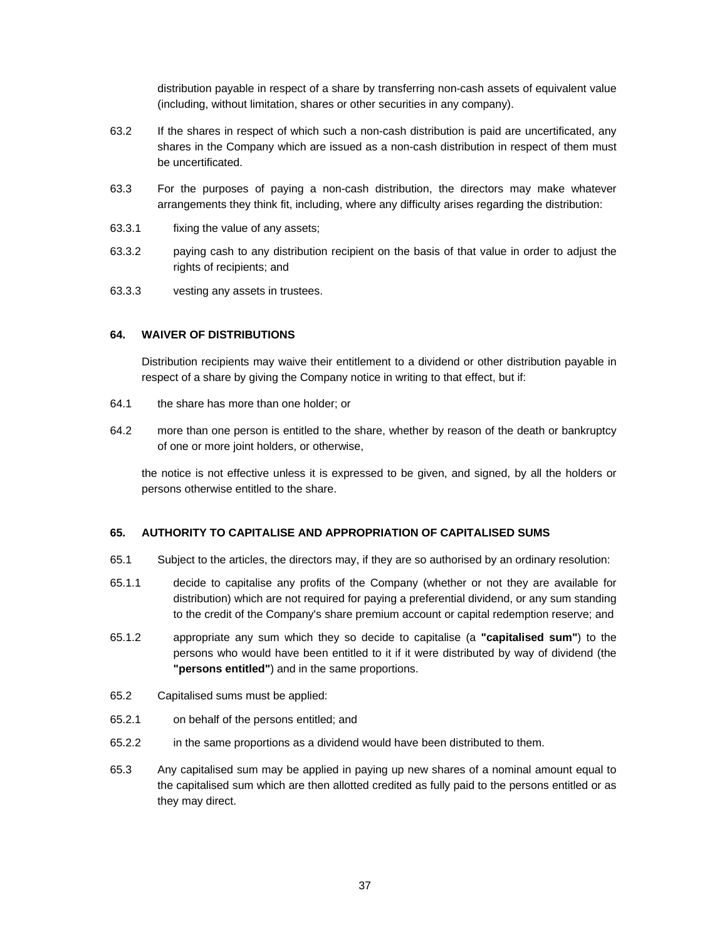distribution payable in respect of a share by transferring non-cash assets of equivalent value (including, without limitation, shares or other securities in any company).

- 63.2 If the shares in respect of which such a non-cash distribution is paid are uncertificated, any shares in the Company which are issued as a non-cash distribution in respect of them must be uncertificated.
- 63.3 For the purposes of paying a non-cash distribution, the directors may make whatever arrangements they think fit, including, where any difficulty arises regarding the distribution:
- 63.3.1 fixing the value of any assets;
- 63.3.2 paying cash to any distribution recipient on the basis of that value in order to adjust the rights of recipients; and
- 63.3.3 vesting any assets in trustees.

# **64. WAIVER OF DISTRIBUTIONS**

Distribution recipients may waive their entitlement to a dividend or other distribution payable in respect of a share by giving the Company notice in writing to that effect, but if:

- 64.1 the share has more than one holder; or
- 64.2 more than one person is entitled to the share, whether by reason of the death or bankruptcy of one or more joint holders, or otherwise,

the notice is not effective unless it is expressed to be given, and signed, by all the holders or persons otherwise entitled to the share.

### **65. AUTHORITY TO CAPITALISE AND APPROPRIATION OF CAPITALISED SUMS**

- 65.1 Subject to the articles, the directors may, if they are so authorised by an ordinary resolution:
- 65.1.1 decide to capitalise any profits of the Company (whether or not they are available for distribution) which are not required for paying a preferential dividend, or any sum standing to the credit of the Company's share premium account or capital redemption reserve; and
- 65.1.2 appropriate any sum which they so decide to capitalise (a **"capitalised sum"**) to the persons who would have been entitled to it if it were distributed by way of dividend (the **"persons entitled"**) and in the same proportions.
- 65.2 Capitalised sums must be applied:
- 65.2.1 on behalf of the persons entitled; and
- 65.2.2 in the same proportions as a dividend would have been distributed to them.
- 65.3 Any capitalised sum may be applied in paying up new shares of a nominal amount equal to the capitalised sum which are then allotted credited as fully paid to the persons entitled or as they may direct.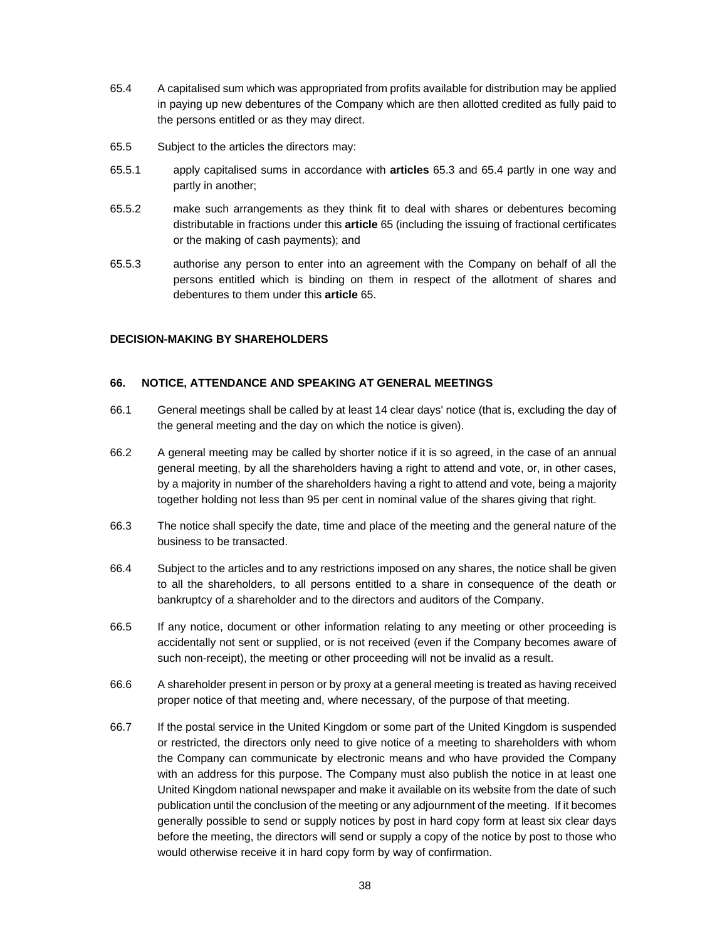- 65.4 A capitalised sum which was appropriated from profits available for distribution may be applied in paying up new debentures of the Company which are then allotted credited as fully paid to the persons entitled or as they may direct.
- 65.5 Subject to the articles the directors may:
- 65.5.1 apply capitalised sums in accordance with **articles** 65.3 and 65.4 partly in one way and partly in another;
- 65.5.2 make such arrangements as they think fit to deal with shares or debentures becoming distributable in fractions under this **article** 65 (including the issuing of fractional certificates or the making of cash payments); and
- 65.5.3 authorise any person to enter into an agreement with the Company on behalf of all the persons entitled which is binding on them in respect of the allotment of shares and debentures to them under this **article** 65.

# **DECISION-MAKING BY SHAREHOLDERS**

# **66. NOTICE, ATTENDANCE AND SPEAKING AT GENERAL MEETINGS**

- 66.1 General meetings shall be called by at least 14 clear days' notice (that is, excluding the day of the general meeting and the day on which the notice is given).
- 66.2 A general meeting may be called by shorter notice if it is so agreed, in the case of an annual general meeting, by all the shareholders having a right to attend and vote, or, in other cases, by a majority in number of the shareholders having a right to attend and vote, being a majority together holding not less than 95 per cent in nominal value of the shares giving that right.
- 66.3 The notice shall specify the date, time and place of the meeting and the general nature of the business to be transacted.
- 66.4 Subject to the articles and to any restrictions imposed on any shares, the notice shall be given to all the shareholders, to all persons entitled to a share in consequence of the death or bankruptcy of a shareholder and to the directors and auditors of the Company.
- 66.5 If any notice, document or other information relating to any meeting or other proceeding is accidentally not sent or supplied, or is not received (even if the Company becomes aware of such non-receipt), the meeting or other proceeding will not be invalid as a result.
- 66.6 A shareholder present in person or by proxy at a general meeting is treated as having received proper notice of that meeting and, where necessary, of the purpose of that meeting.
- 66.7 If the postal service in the United Kingdom or some part of the United Kingdom is suspended or restricted, the directors only need to give notice of a meeting to shareholders with whom the Company can communicate by electronic means and who have provided the Company with an address for this purpose. The Company must also publish the notice in at least one United Kingdom national newspaper and make it available on its website from the date of such publication until the conclusion of the meeting or any adjournment of the meeting. If it becomes generally possible to send or supply notices by post in hard copy form at least six clear days before the meeting, the directors will send or supply a copy of the notice by post to those who would otherwise receive it in hard copy form by way of confirmation.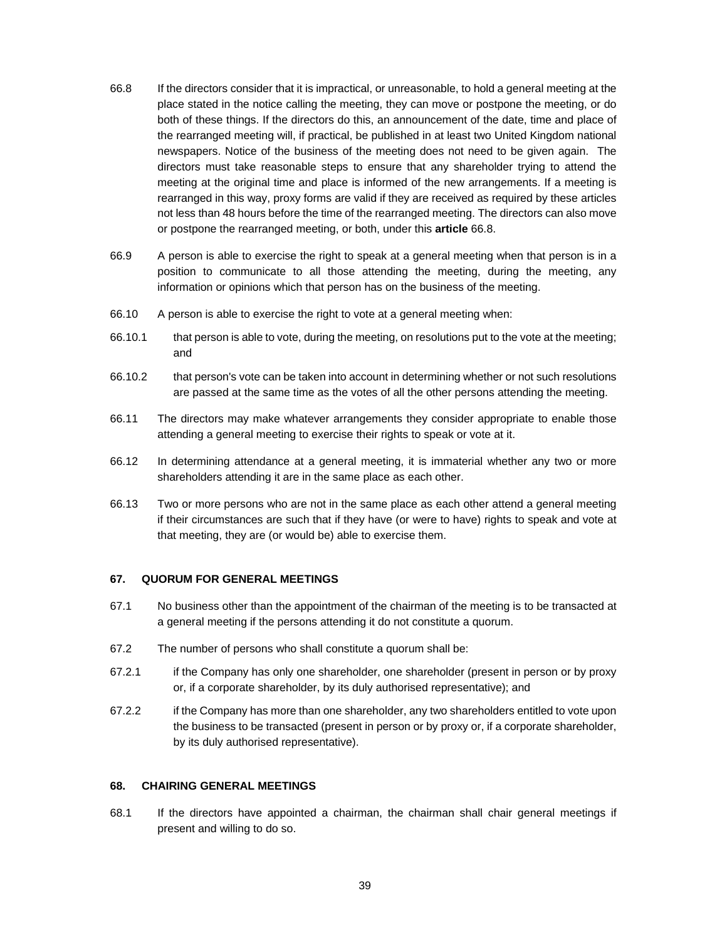- 66.8 If the directors consider that it is impractical, or unreasonable, to hold a general meeting at the place stated in the notice calling the meeting, they can move or postpone the meeting, or do both of these things. If the directors do this, an announcement of the date, time and place of the rearranged meeting will, if practical, be published in at least two United Kingdom national newspapers. Notice of the business of the meeting does not need to be given again. The directors must take reasonable steps to ensure that any shareholder trying to attend the meeting at the original time and place is informed of the new arrangements. If a meeting is rearranged in this way, proxy forms are valid if they are received as required by these articles not less than 48 hours before the time of the rearranged meeting. The directors can also move or postpone the rearranged meeting, or both, under this **article** 66.8.
- 66.9 A person is able to exercise the right to speak at a general meeting when that person is in a position to communicate to all those attending the meeting, during the meeting, any information or opinions which that person has on the business of the meeting.
- 66.10 A person is able to exercise the right to vote at a general meeting when:
- 66.10.1 that person is able to vote, during the meeting, on resolutions put to the vote at the meeting; and
- 66.10.2 that person's vote can be taken into account in determining whether or not such resolutions are passed at the same time as the votes of all the other persons attending the meeting.
- 66.11 The directors may make whatever arrangements they consider appropriate to enable those attending a general meeting to exercise their rights to speak or vote at it.
- 66.12 In determining attendance at a general meeting, it is immaterial whether any two or more shareholders attending it are in the same place as each other.
- 66.13 Two or more persons who are not in the same place as each other attend a general meeting if their circumstances are such that if they have (or were to have) rights to speak and vote at that meeting, they are (or would be) able to exercise them.

### **67. QUORUM FOR GENERAL MEETINGS**

- 67.1 No business other than the appointment of the chairman of the meeting is to be transacted at a general meeting if the persons attending it do not constitute a quorum.
- 67.2 The number of persons who shall constitute a quorum shall be:
- 67.2.1 if the Company has only one shareholder, one shareholder (present in person or by proxy or, if a corporate shareholder, by its duly authorised representative); and
- 67.2.2 if the Company has more than one shareholder, any two shareholders entitled to vote upon the business to be transacted (present in person or by proxy or, if a corporate shareholder, by its duly authorised representative).

#### **68. CHAIRING GENERAL MEETINGS**

68.1 If the directors have appointed a chairman, the chairman shall chair general meetings if present and willing to do so.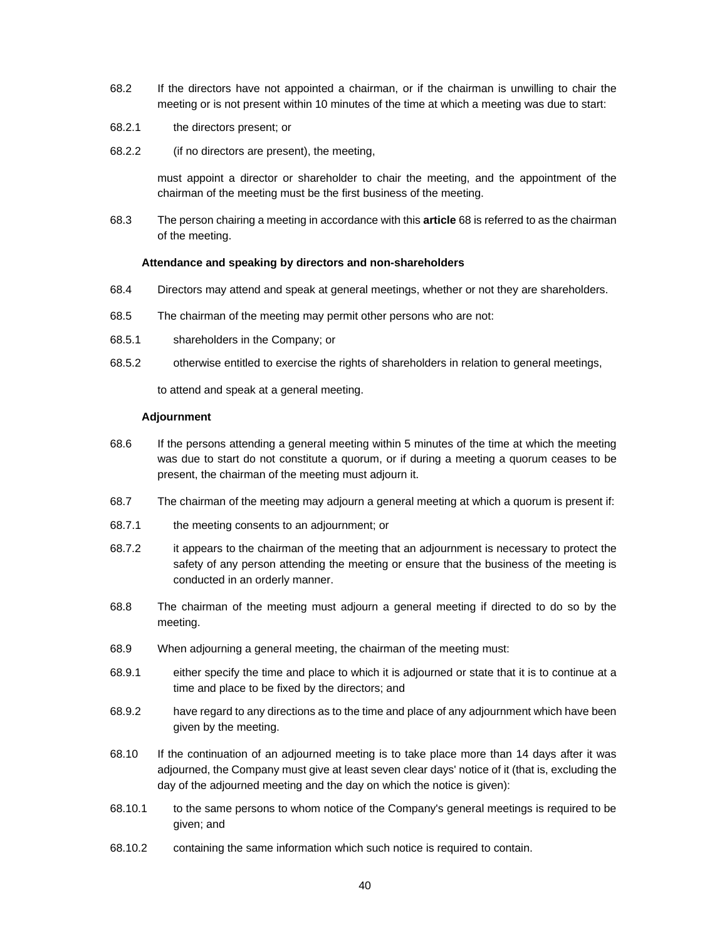- 68.2 If the directors have not appointed a chairman, or if the chairman is unwilling to chair the meeting or is not present within 10 minutes of the time at which a meeting was due to start:
- 68.2.1 the directors present; or
- 68.2.2 (if no directors are present), the meeting,

must appoint a director or shareholder to chair the meeting, and the appointment of the chairman of the meeting must be the first business of the meeting.

68.3 The person chairing a meeting in accordance with this **article** 68 is referred to as the chairman of the meeting.

#### **Attendance and speaking by directors and non-shareholders**

- 68.4 Directors may attend and speak at general meetings, whether or not they are shareholders.
- 68.5 The chairman of the meeting may permit other persons who are not:
- 68.5.1 shareholders in the Company; or
- 68.5.2 otherwise entitled to exercise the rights of shareholders in relation to general meetings,

to attend and speak at a general meeting.

### **Adjournment**

- 68.6 If the persons attending a general meeting within 5 minutes of the time at which the meeting was due to start do not constitute a quorum, or if during a meeting a quorum ceases to be present, the chairman of the meeting must adjourn it.
- 68.7 The chairman of the meeting may adjourn a general meeting at which a quorum is present if:
- 68.7.1 the meeting consents to an adjournment; or
- 68.7.2 it appears to the chairman of the meeting that an adjournment is necessary to protect the safety of any person attending the meeting or ensure that the business of the meeting is conducted in an orderly manner.
- 68.8 The chairman of the meeting must adjourn a general meeting if directed to do so by the meeting.
- 68.9 When adjourning a general meeting, the chairman of the meeting must:
- 68.9.1 either specify the time and place to which it is adjourned or state that it is to continue at a time and place to be fixed by the directors; and
- 68.9.2 have regard to any directions as to the time and place of any adjournment which have been given by the meeting.
- 68.10 If the continuation of an adjourned meeting is to take place more than 14 days after it was adjourned, the Company must give at least seven clear days' notice of it (that is, excluding the day of the adjourned meeting and the day on which the notice is given):
- 68.10.1 to the same persons to whom notice of the Company's general meetings is required to be given; and
- 68.10.2 containing the same information which such notice is required to contain.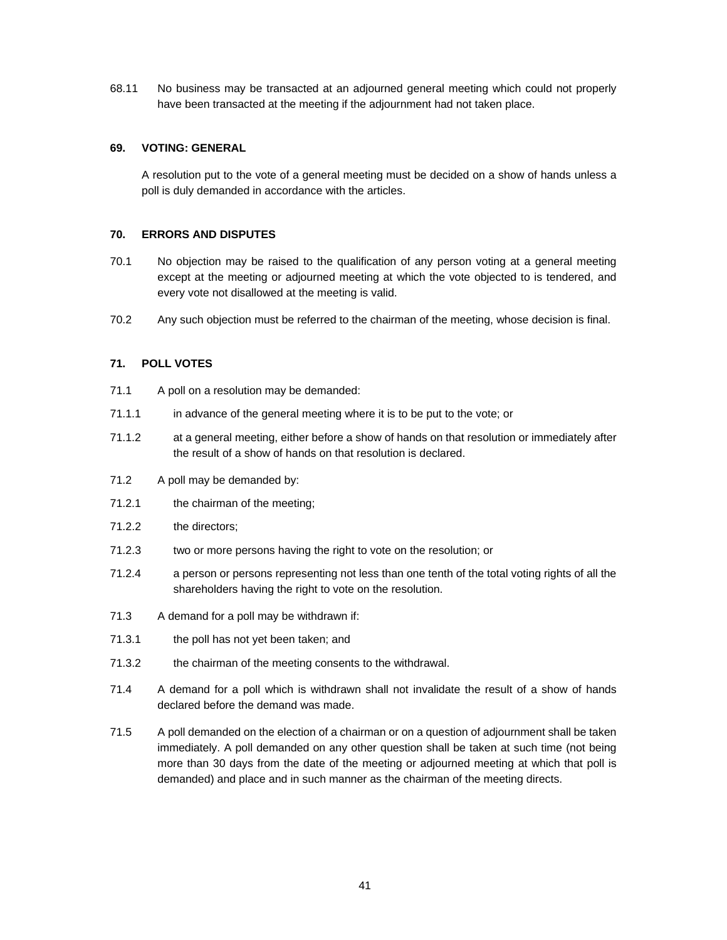68.11 No business may be transacted at an adjourned general meeting which could not properly have been transacted at the meeting if the adjournment had not taken place.

# **69. VOTING: GENERAL**

A resolution put to the vote of a general meeting must be decided on a show of hands unless a poll is duly demanded in accordance with the articles.

# **70. ERRORS AND DISPUTES**

- 70.1 No objection may be raised to the qualification of any person voting at a general meeting except at the meeting or adjourned meeting at which the vote objected to is tendered, and every vote not disallowed at the meeting is valid.
- 70.2 Any such objection must be referred to the chairman of the meeting, whose decision is final.

# **71. POLL VOTES**

- 71.1 A poll on a resolution may be demanded:
- 71.1.1 in advance of the general meeting where it is to be put to the vote; or
- 71.1.2 at a general meeting, either before a show of hands on that resolution or immediately after the result of a show of hands on that resolution is declared.
- 71.2 A poll may be demanded by:
- 71.2.1 the chairman of the meeting;
- 71.2.2 the directors;
- 71.2.3 two or more persons having the right to vote on the resolution; or
- 71.2.4 a person or persons representing not less than one tenth of the total voting rights of all the shareholders having the right to vote on the resolution.
- 71.3 A demand for a poll may be withdrawn if:
- 71.3.1 the poll has not yet been taken; and
- 71.3.2 the chairman of the meeting consents to the withdrawal.
- 71.4 A demand for a poll which is withdrawn shall not invalidate the result of a show of hands declared before the demand was made.
- 71.5 A poll demanded on the election of a chairman or on a question of adjournment shall be taken immediately. A poll demanded on any other question shall be taken at such time (not being more than 30 days from the date of the meeting or adjourned meeting at which that poll is demanded) and place and in such manner as the chairman of the meeting directs.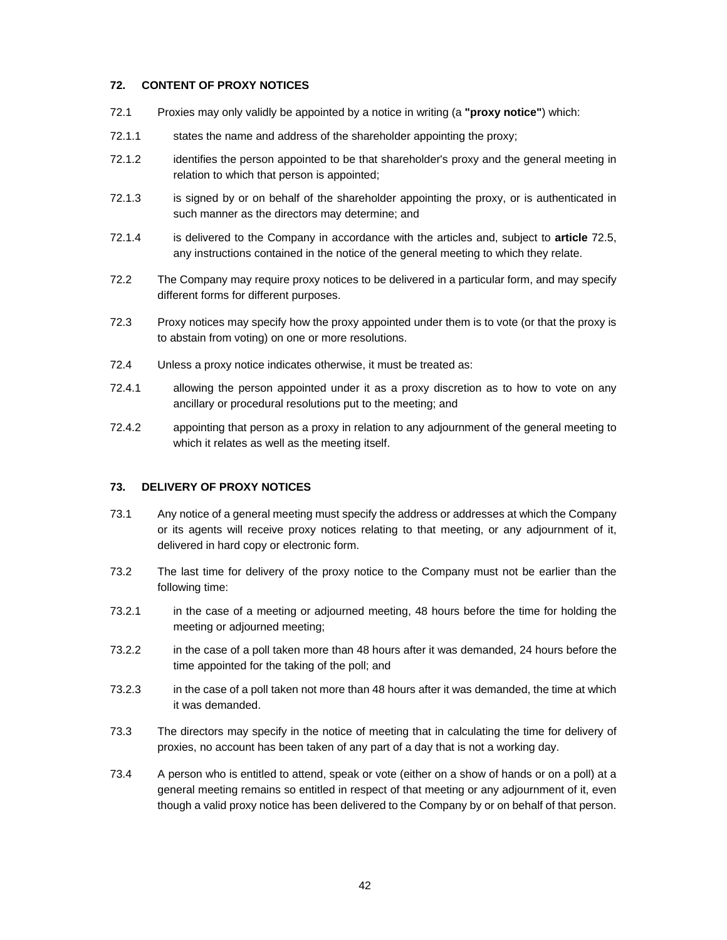# **72. CONTENT OF PROXY NOTICES**

- 72.1 Proxies may only validly be appointed by a notice in writing (a **"proxy notice"**) which:
- 72.1.1 states the name and address of the shareholder appointing the proxy;
- 72.1.2 identifies the person appointed to be that shareholder's proxy and the general meeting in relation to which that person is appointed;
- 72.1.3 is signed by or on behalf of the shareholder appointing the proxy, or is authenticated in such manner as the directors may determine; and
- 72.1.4 is delivered to the Company in accordance with the articles and, subject to **article** 72.5, any instructions contained in the notice of the general meeting to which they relate.
- 72.2 The Company may require proxy notices to be delivered in a particular form, and may specify different forms for different purposes.
- 72.3 Proxy notices may specify how the proxy appointed under them is to vote (or that the proxy is to abstain from voting) on one or more resolutions.
- 72.4 Unless a proxy notice indicates otherwise, it must be treated as:
- 72.4.1 allowing the person appointed under it as a proxy discretion as to how to vote on any ancillary or procedural resolutions put to the meeting; and
- 72.4.2 appointing that person as a proxy in relation to any adjournment of the general meeting to which it relates as well as the meeting itself.

# **73. DELIVERY OF PROXY NOTICES**

- 73.1 Any notice of a general meeting must specify the address or addresses at which the Company or its agents will receive proxy notices relating to that meeting, or any adjournment of it, delivered in hard copy or electronic form.
- 73.2 The last time for delivery of the proxy notice to the Company must not be earlier than the following time:
- 73.2.1 in the case of a meeting or adjourned meeting, 48 hours before the time for holding the meeting or adjourned meeting;
- 73.2.2 in the case of a poll taken more than 48 hours after it was demanded, 24 hours before the time appointed for the taking of the poll; and
- 73.2.3 in the case of a poll taken not more than 48 hours after it was demanded, the time at which it was demanded.
- 73.3 The directors may specify in the notice of meeting that in calculating the time for delivery of proxies, no account has been taken of any part of a day that is not a working day.
- 73.4 A person who is entitled to attend, speak or vote (either on a show of hands or on a poll) at a general meeting remains so entitled in respect of that meeting or any adjournment of it, even though a valid proxy notice has been delivered to the Company by or on behalf of that person.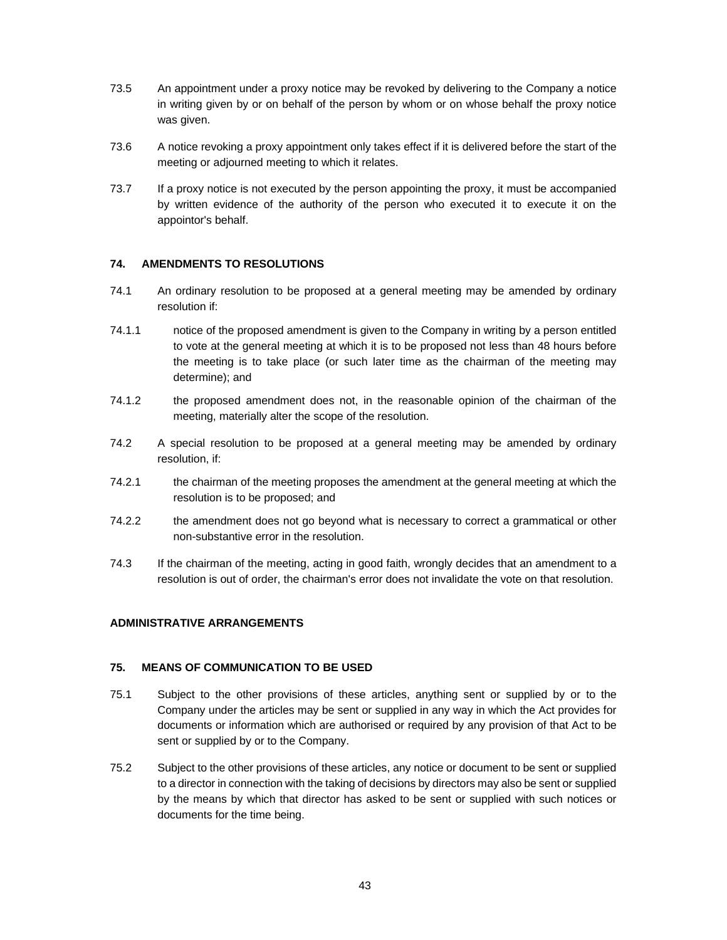- 73.5 An appointment under a proxy notice may be revoked by delivering to the Company a notice in writing given by or on behalf of the person by whom or on whose behalf the proxy notice was given.
- 73.6 A notice revoking a proxy appointment only takes effect if it is delivered before the start of the meeting or adjourned meeting to which it relates.
- 73.7 If a proxy notice is not executed by the person appointing the proxy, it must be accompanied by written evidence of the authority of the person who executed it to execute it on the appointor's behalf.

# **74. AMENDMENTS TO RESOLUTIONS**

- 74.1 An ordinary resolution to be proposed at a general meeting may be amended by ordinary resolution if:
- 74.1.1 notice of the proposed amendment is given to the Company in writing by a person entitled to vote at the general meeting at which it is to be proposed not less than 48 hours before the meeting is to take place (or such later time as the chairman of the meeting may determine); and
- 74.1.2 the proposed amendment does not, in the reasonable opinion of the chairman of the meeting, materially alter the scope of the resolution.
- 74.2 A special resolution to be proposed at a general meeting may be amended by ordinary resolution, if:
- 74.2.1 the chairman of the meeting proposes the amendment at the general meeting at which the resolution is to be proposed; and
- 74.2.2 the amendment does not go beyond what is necessary to correct a grammatical or other non-substantive error in the resolution.
- 74.3 If the chairman of the meeting, acting in good faith, wrongly decides that an amendment to a resolution is out of order, the chairman's error does not invalidate the vote on that resolution.

# **ADMINISTRATIVE ARRANGEMENTS**

# **75. MEANS OF COMMUNICATION TO BE USED**

- 75.1 Subject to the other provisions of these articles, anything sent or supplied by or to the Company under the articles may be sent or supplied in any way in which the Act provides for documents or information which are authorised or required by any provision of that Act to be sent or supplied by or to the Company.
- 75.2 Subject to the other provisions of these articles, any notice or document to be sent or supplied to a director in connection with the taking of decisions by directors may also be sent or supplied by the means by which that director has asked to be sent or supplied with such notices or documents for the time being.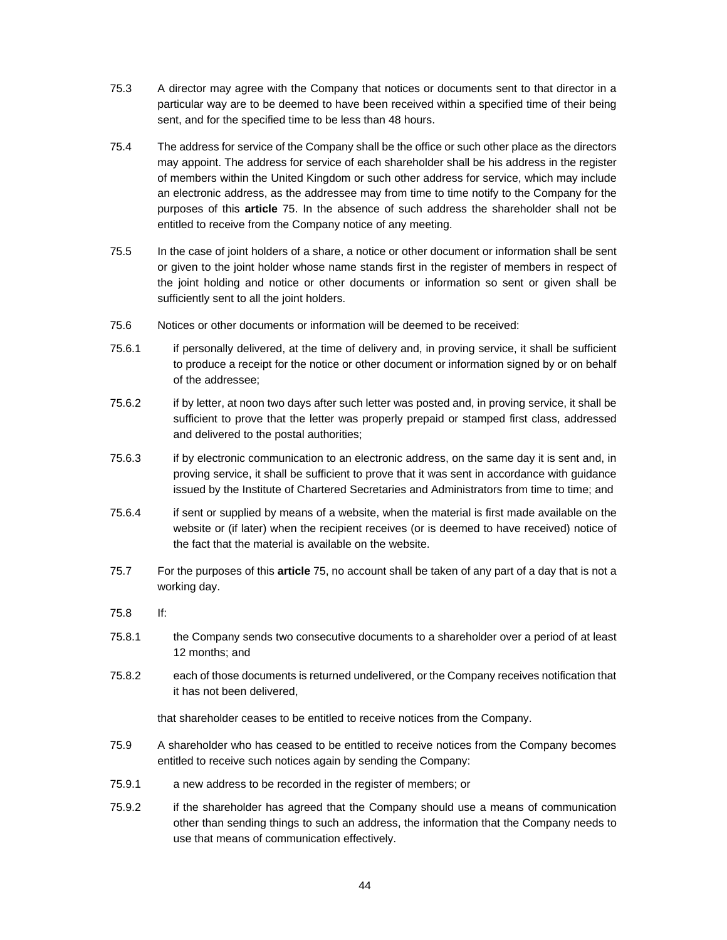- 75.3 A director may agree with the Company that notices or documents sent to that director in a particular way are to be deemed to have been received within a specified time of their being sent, and for the specified time to be less than 48 hours.
- 75.4 The address for service of the Company shall be the office or such other place as the directors may appoint. The address for service of each shareholder shall be his address in the register of members within the United Kingdom or such other address for service, which may include an electronic address, as the addressee may from time to time notify to the Company for the purposes of this **article** 75. In the absence of such address the shareholder shall not be entitled to receive from the Company notice of any meeting.
- 75.5 In the case of joint holders of a share, a notice or other document or information shall be sent or given to the joint holder whose name stands first in the register of members in respect of the joint holding and notice or other documents or information so sent or given shall be sufficiently sent to all the joint holders.
- 75.6 Notices or other documents or information will be deemed to be received:
- 75.6.1 if personally delivered, at the time of delivery and, in proving service, it shall be sufficient to produce a receipt for the notice or other document or information signed by or on behalf of the addressee;
- 75.6.2 if by letter, at noon two days after such letter was posted and, in proving service, it shall be sufficient to prove that the letter was properly prepaid or stamped first class, addressed and delivered to the postal authorities;
- 75.6.3 if by electronic communication to an electronic address, on the same day it is sent and, in proving service, it shall be sufficient to prove that it was sent in accordance with guidance issued by the Institute of Chartered Secretaries and Administrators from time to time; and
- 75.6.4 if sent or supplied by means of a website, when the material is first made available on the website or (if later) when the recipient receives (or is deemed to have received) notice of the fact that the material is available on the website.
- 75.7 For the purposes of this **article** 75, no account shall be taken of any part of a day that is not a working day.
- 75.8 If:
- 75.8.1 the Company sends two consecutive documents to a shareholder over a period of at least 12 months; and
- 75.8.2 each of those documents is returned undelivered, or the Company receives notification that it has not been delivered,

that shareholder ceases to be entitled to receive notices from the Company.

- 75.9 A shareholder who has ceased to be entitled to receive notices from the Company becomes entitled to receive such notices again by sending the Company:
- 75.9.1 a new address to be recorded in the register of members; or
- 75.9.2 if the shareholder has agreed that the Company should use a means of communication other than sending things to such an address, the information that the Company needs to use that means of communication effectively.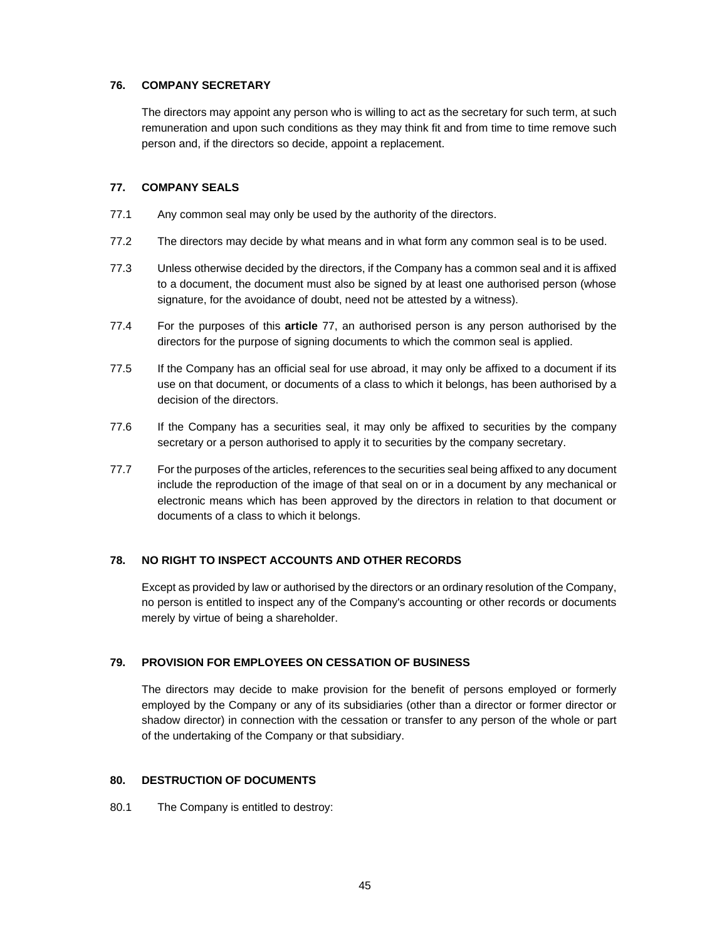# **76. COMPANY SECRETARY**

The directors may appoint any person who is willing to act as the secretary for such term, at such remuneration and upon such conditions as they may think fit and from time to time remove such person and, if the directors so decide, appoint a replacement.

# **77. COMPANY SEALS**

- 77.1 Any common seal may only be used by the authority of the directors.
- 77.2 The directors may decide by what means and in what form any common seal is to be used.
- 77.3 Unless otherwise decided by the directors, if the Company has a common seal and it is affixed to a document, the document must also be signed by at least one authorised person (whose signature, for the avoidance of doubt, need not be attested by a witness).
- 77.4 For the purposes of this **article** 77, an authorised person is any person authorised by the directors for the purpose of signing documents to which the common seal is applied.
- 77.5 If the Company has an official seal for use abroad, it may only be affixed to a document if its use on that document, or documents of a class to which it belongs, has been authorised by a decision of the directors.
- 77.6 If the Company has a securities seal, it may only be affixed to securities by the company secretary or a person authorised to apply it to securities by the company secretary.
- 77.7 For the purposes of the articles, references to the securities seal being affixed to any document include the reproduction of the image of that seal on or in a document by any mechanical or electronic means which has been approved by the directors in relation to that document or documents of a class to which it belongs.

# **78. NO RIGHT TO INSPECT ACCOUNTS AND OTHER RECORDS**

Except as provided by law or authorised by the directors or an ordinary resolution of the Company, no person is entitled to inspect any of the Company's accounting or other records or documents merely by virtue of being a shareholder.

# **79. PROVISION FOR EMPLOYEES ON CESSATION OF BUSINESS**

The directors may decide to make provision for the benefit of persons employed or formerly employed by the Company or any of its subsidiaries (other than a director or former director or shadow director) in connection with the cessation or transfer to any person of the whole or part of the undertaking of the Company or that subsidiary.

# **80. DESTRUCTION OF DOCUMENTS**

80.1 The Company is entitled to destroy: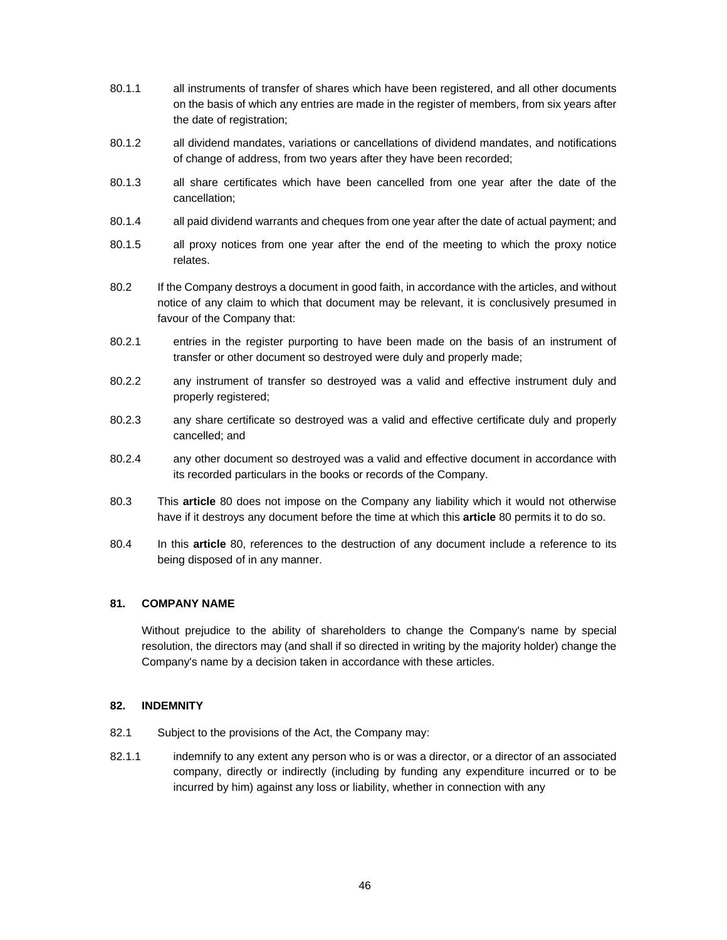- 80.1.1 all instruments of transfer of shares which have been registered, and all other documents on the basis of which any entries are made in the register of members, from six years after the date of registration;
- 80.1.2 all dividend mandates, variations or cancellations of dividend mandates, and notifications of change of address, from two years after they have been recorded;
- 80.1.3 all share certificates which have been cancelled from one year after the date of the cancellation;
- 80.1.4 all paid dividend warrants and cheques from one year after the date of actual payment; and
- 80.1.5 all proxy notices from one year after the end of the meeting to which the proxy notice relates.
- 80.2 If the Company destroys a document in good faith, in accordance with the articles, and without notice of any claim to which that document may be relevant, it is conclusively presumed in favour of the Company that:
- 80.2.1 entries in the register purporting to have been made on the basis of an instrument of transfer or other document so destroyed were duly and properly made;
- 80.2.2 any instrument of transfer so destroyed was a valid and effective instrument duly and properly registered;
- 80.2.3 any share certificate so destroyed was a valid and effective certificate duly and properly cancelled; and
- 80.2.4 any other document so destroyed was a valid and effective document in accordance with its recorded particulars in the books or records of the Company.
- 80.3 This **article** 80 does not impose on the Company any liability which it would not otherwise have if it destroys any document before the time at which this **article** 80 permits it to do so.
- 80.4 In this **article** 80, references to the destruction of any document include a reference to its being disposed of in any manner.

# **81. COMPANY NAME**

Without prejudice to the ability of shareholders to change the Company's name by special resolution, the directors may (and shall if so directed in writing by the majority holder) change the Company's name by a decision taken in accordance with these articles.

# **82. INDEMNITY**

- 82.1 Subject to the provisions of the Act, the Company may:
- 82.1.1 indemnify to any extent any person who is or was a director, or a director of an associated company, directly or indirectly (including by funding any expenditure incurred or to be incurred by him) against any loss or liability, whether in connection with any